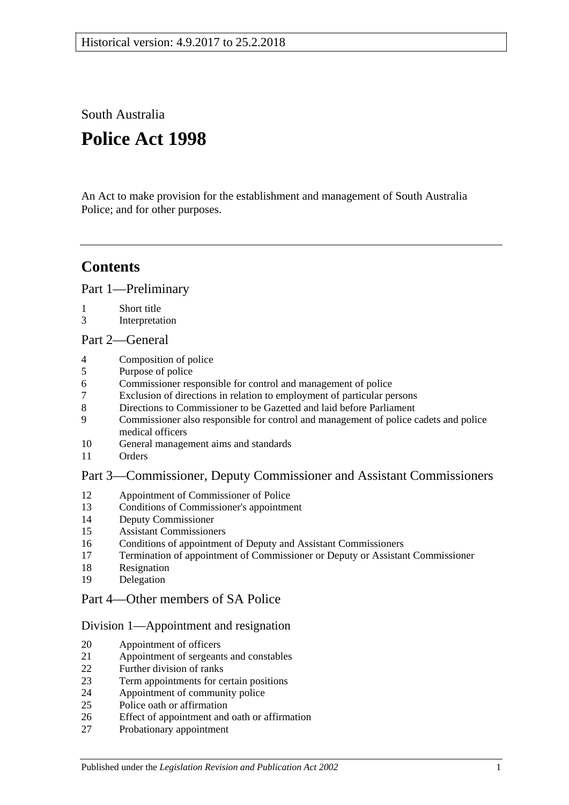South Australia

# **Police Act 1998**

An Act to make provision for the establishment and management of South Australia Police; and for other purposes.

## **Contents**

[Part 1—Preliminary](#page-2-0)

- [Short title](#page-2-1)
- [Interpretation](#page-2-2)

## [Part 2—General](#page-3-0)

- [Composition of police](#page-3-1)
- [Purpose of police](#page-3-2)
- [Commissioner responsible for control and management of police](#page-4-0)
- [Exclusion of directions in relation to employment of particular persons](#page-4-1)
- [Directions to Commissioner to be Gazetted and laid before Parliament](#page-4-2)
- [Commissioner also responsible for control and management of police cadets and police](#page-4-3)  [medical officers](#page-4-3)
- [General management aims and standards](#page-4-4)
- [Orders](#page-5-0)

## [Part 3—Commissioner, Deputy Commissioner and Assistant Commissioners](#page-5-1)

- [Appointment of Commissioner of Police](#page-5-2)<br>13 Conditions of Commissioner's appointme
- [Conditions of Commissioner's appointment](#page-5-3)
- [Deputy Commissioner](#page-6-0)
- [Assistant Commissioners](#page-6-1)
- [Conditions of appointment of Deputy and Assistant Commissioners](#page-7-0)
- [Termination of appointment of Commissioner or Deputy or Assistant Commissioner](#page-7-1)
- [Resignation](#page-8-0)
- [Delegation](#page-8-1)

## [Part 4—Other members of SA Police](#page-8-2)

## [Division 1—Appointment and resignation](#page-8-3)

- [Appointment of officers](#page-8-4)
- [Appointment of sergeants and constables](#page-9-0)
- [Further division of ranks](#page-9-1)
- [Term appointments for certain positions](#page-9-2)
- [Appointment of community police](#page-9-3)
- [Police oath or affirmation](#page-9-4)
- [Effect of appointment and oath or affirmation](#page-10-0)
- [Probationary appointment](#page-10-1)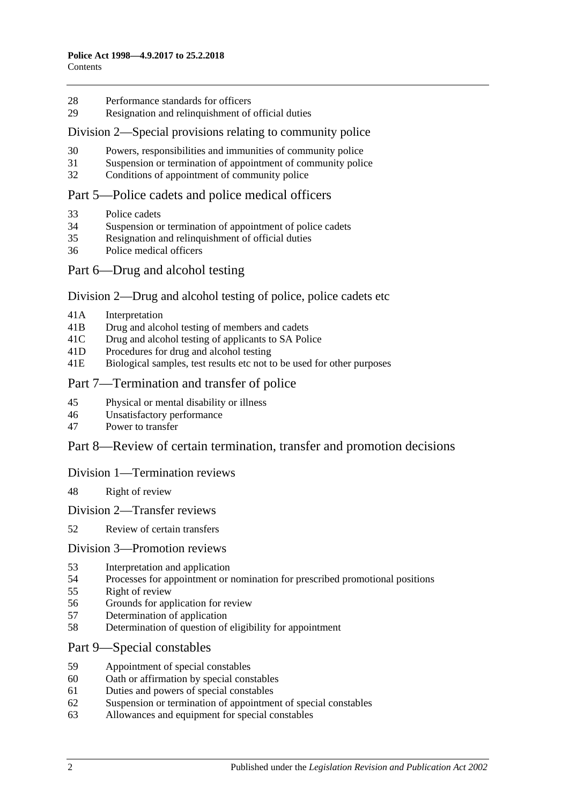- [Performance standards for officers](#page-11-0)
- Resignation [and relinquishment of official duties](#page-11-1)

#### [Division 2—Special provisions relating to community police](#page-11-2)

- [Powers, responsibilities and immunities of community police](#page-11-3)
- [Suspension or termination of appointment of community police](#page-12-0)
- [Conditions of appointment of community police](#page-12-1)

#### [Part 5—Police cadets and police medical officers](#page-12-2)

- [Police cadets](#page-12-3)
- [Suspension or termination of appointment of police cadets](#page-12-4)
- [Resignation and relinquishment of official duties](#page-12-5)
- [Police medical officers](#page-12-6)
- Part [6—Drug and alcohol testing](#page-13-0)

#### Division [2—Drug and alcohol testing of police, police cadets etc](#page-13-1)

- 41A [Interpretation](#page-13-2)
- 41B [Drug and alcohol testing of members and cadets](#page-14-0)
- 41C [Drug and alcohol testing of applicants to SA](#page-14-1) Police
- 41D [Procedures for drug and alcohol testing](#page-14-2)
- 41E [Biological samples, test results etc not to be used for other purposes](#page-15-0)

#### [Part 7—Termination and transfer of police](#page-15-1)

- [Physical or mental disability or illness](#page-15-2)
- [Unsatisfactory performance](#page-16-0)
- [Power to transfer](#page-16-1)

#### [Part 8—Review of certain termination, transfer and promotion decisions](#page-17-0)

#### [Division 1—Termination reviews](#page-17-1)

- [Right of review](#page-17-2)
- [Division 2—Transfer reviews](#page-17-3)
- [Review of certain transfers](#page-17-4)

#### [Division 3—Promotion reviews](#page-18-0)

- [Interpretation and application](#page-18-1)
- [Processes for appointment or nomination for prescribed promotional positions](#page-18-2)
- [Right of review](#page-18-3)
- [Grounds for application for review](#page-18-4)
- [Determination of application](#page-19-0)
- [Determination of question of eligibility for appointment](#page-19-1)

#### [Part 9—Special constables](#page-19-2)

- [Appointment of special constables](#page-19-3)
- [Oath or affirmation by special constables](#page-20-0)
- [Duties and powers of special constables](#page-20-1)
- [Suspension or termination of appointment of special constables](#page-20-2)
- [Allowances and equipment for special constables](#page-20-3)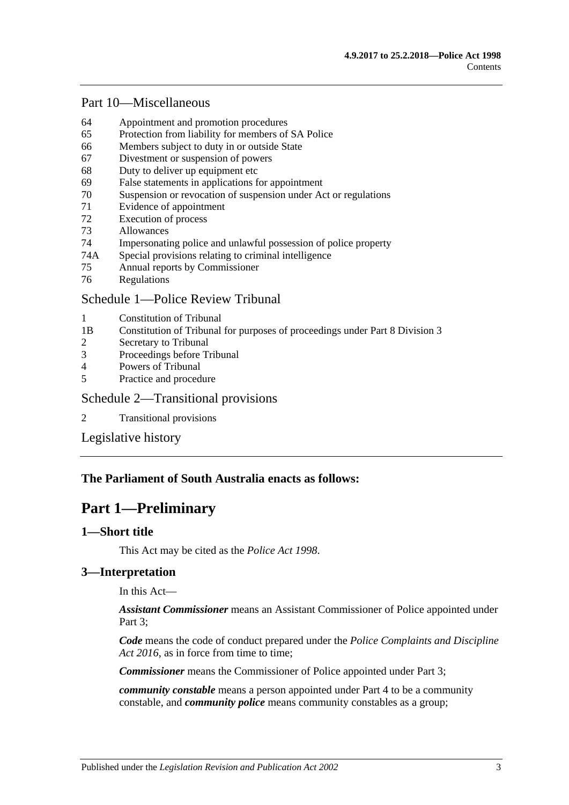## [Part 10—Miscellaneous](#page-21-0)

- 64 [Appointment and promotion procedures](#page-21-1)
- 65 [Protection from liability for members of SA](#page-21-2) Police
- 66 [Members subject to duty in or outside State](#page-21-3)
- 67 [Divestment or suspension of powers](#page-22-0)
- 68 [Duty to deliver up equipment etc](#page-22-1)
- 69 [False statements in applications for appointment](#page-22-2)
- 70 [Suspension or revocation of suspension under Act or regulations](#page-23-0)
- 71 [Evidence of appointment](#page-23-1)
- 72 [Execution of process](#page-24-0)
- 73 [Allowances](#page-24-1)
- 74 [Impersonating police and unlawful possession of police property](#page-24-2)
- 74A [Special provisions relating to criminal intelligence](#page-25-0)
- 75 [Annual reports by Commissioner](#page-26-0)
- 76 [Regulations](#page-26-1)

## [Schedule 1—Police Review Tribunal](#page-26-2)

- 1 [Constitution of Tribunal](#page-26-3)
- 1B [Constitution of Tribunal for purposes of proceedings under Part 8 Division 3](#page-26-4)
- 2 [Secretary to Tribunal](#page-27-0)
- 3 [Proceedings before Tribunal](#page-27-1)
- 4 [Powers of Tribunal](#page-28-0)
- 5 [Practice and procedure](#page-28-1)

#### [Schedule 2—Transitional provisions](#page-28-2)

2 [Transitional provisions](#page-28-3)

[Legislative history](#page-30-0)

## <span id="page-2-0"></span>**The Parliament of South Australia enacts as follows:**

## **Part 1—Preliminary**

## <span id="page-2-1"></span>**1—Short title**

This Act may be cited as the *Police Act 1998*.

## <span id="page-2-2"></span>**3—Interpretation**

In this Act—

*Assistant Commissioner* means an Assistant Commissioner of Police appointed under [Part 3;](#page-5-1)

*Code* means the code of conduct prepared under the *[Police Complaints and Discipline](http://www.legislation.sa.gov.au/index.aspx?action=legref&type=act&legtitle=Police%20Complaints%20and%20Discipline%20Act%202016)*  [Act 2016](http://www.legislation.sa.gov.au/index.aspx?action=legref&type=act&legtitle=Police%20Complaints%20and%20Discipline%20Act%202016), as in force from time to time;

*Commissioner* means the Commissioner of Police appointed under [Part 3;](#page-5-1)

*community constable* means a person appointed under [Part 4](#page-8-2) to be a community constable, and *community police* means community constables as a group;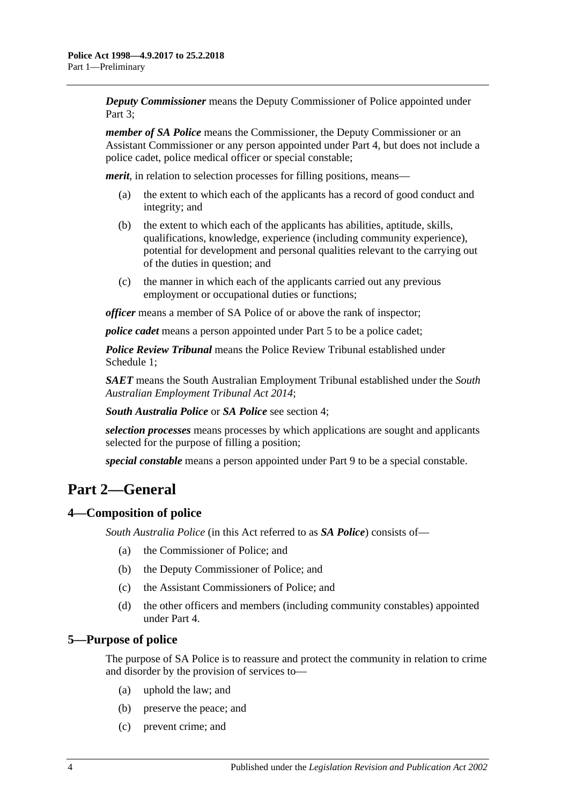*Deputy Commissioner* means the Deputy Commissioner of Police appointed under Part 3:

*member of SA Police* means the Commissioner, the Deputy Commissioner or an Assistant Commissioner or any person appointed under [Part 4,](#page-8-2) but does not include a police cadet, police medical officer or special constable;

*merit*, in relation to selection processes for filling positions, means—

- (a) the extent to which each of the applicants has a record of good conduct and integrity; and
- (b) the extent to which each of the applicants has abilities, aptitude, skills, qualifications, knowledge, experience (including community experience), potential for development and personal qualities relevant to the carrying out of the duties in question; and
- (c) the manner in which each of the applicants carried out any previous employment or occupational duties or functions;

*officer* means a member of SA Police of or above the rank of inspector;

*police cadet* means a person appointed under [Part 5](#page-12-2) to be a police cadet;

*Police Review Tribunal* means the Police Review Tribunal established under [Schedule](#page-26-2) 1;

*SAET* means the South Australian Employment Tribunal established under the *[South](http://www.legislation.sa.gov.au/index.aspx?action=legref&type=act&legtitle=South%20Australian%20Employment%20Tribunal%20Act%202014)  [Australian Employment Tribunal Act](http://www.legislation.sa.gov.au/index.aspx?action=legref&type=act&legtitle=South%20Australian%20Employment%20Tribunal%20Act%202014) 2014*;

*South Australia Police* or *SA Police* see [section](#page-3-1) 4;

*selection processes* means processes by which applications are sought and applicants selected for the purpose of filling a position;

*special constable* means a person appointed under [Part 9](#page-19-2) to be a special constable.

## <span id="page-3-0"></span>**Part 2—General**

## <span id="page-3-1"></span>**4—Composition of police**

*South Australia Police* (in this Act referred to as *SA Police*) consists of—

- (a) the Commissioner of Police; and
- (b) the Deputy Commissioner of Police; and
- (c) the Assistant Commissioners of Police; and
- (d) the other officers and members (including community constables) appointed under [Part 4.](#page-8-2)

#### <span id="page-3-2"></span>**5—Purpose of police**

The purpose of SA Police is to reassure and protect the community in relation to crime and disorder by the provision of services to—

- (a) uphold the law; and
- (b) preserve the peace; and
- (c) prevent crime; and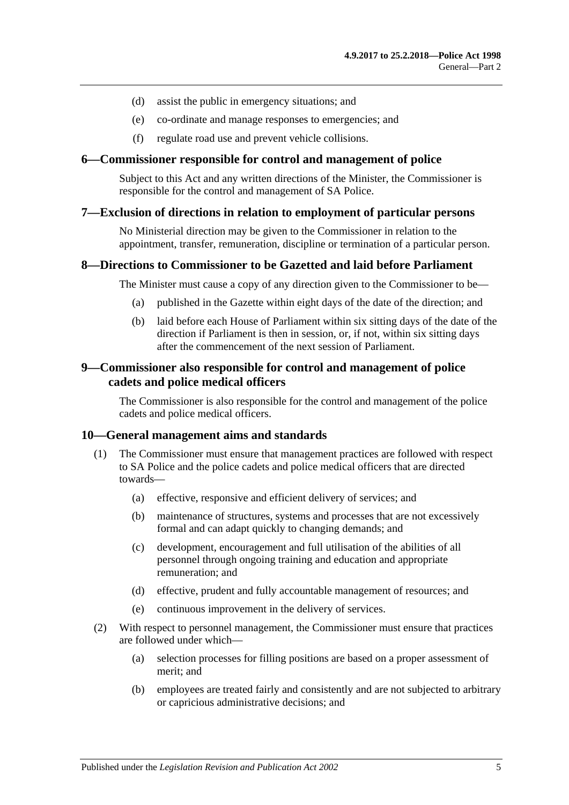- (d) assist the public in emergency situations; and
- (e) co-ordinate and manage responses to emergencies; and
- (f) regulate road use and prevent vehicle collisions.

#### <span id="page-4-0"></span>**6—Commissioner responsible for control and management of police**

Subject to this Act and any written directions of the Minister, the Commissioner is responsible for the control and management of SA Police.

#### <span id="page-4-1"></span>**7—Exclusion of directions in relation to employment of particular persons**

No Ministerial direction may be given to the Commissioner in relation to the appointment, transfer, remuneration, discipline or termination of a particular person.

#### <span id="page-4-2"></span>**8—Directions to Commissioner to be Gazetted and laid before Parliament**

The Minister must cause a copy of any direction given to the Commissioner to be—

- (a) published in the Gazette within eight days of the date of the direction; and
- (b) laid before each House of Parliament within six sitting days of the date of the direction if Parliament is then in session, or, if not, within six sitting days after the commencement of the next session of Parliament.

#### <span id="page-4-3"></span>**9—Commissioner also responsible for control and management of police cadets and police medical officers**

The Commissioner is also responsible for the control and management of the police cadets and police medical officers.

#### <span id="page-4-4"></span>**10—General management aims and standards**

- (1) The Commissioner must ensure that management practices are followed with respect to SA Police and the police cadets and police medical officers that are directed towards—
	- (a) effective, responsive and efficient delivery of services; and
	- (b) maintenance of structures, systems and processes that are not excessively formal and can adapt quickly to changing demands; and
	- (c) development, encouragement and full utilisation of the abilities of all personnel through ongoing training and education and appropriate remuneration; and
	- (d) effective, prudent and fully accountable management of resources; and
	- (e) continuous improvement in the delivery of services.
- (2) With respect to personnel management, the Commissioner must ensure that practices are followed under which—
	- (a) selection processes for filling positions are based on a proper assessment of merit; and
	- (b) employees are treated fairly and consistently and are not subjected to arbitrary or capricious administrative decisions; and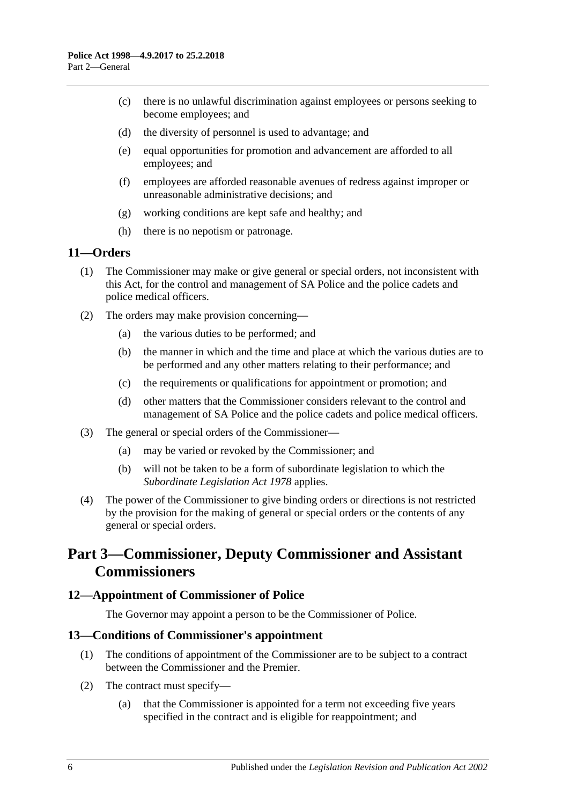- (c) there is no unlawful discrimination against employees or persons seeking to become employees; and
- (d) the diversity of personnel is used to advantage; and
- (e) equal opportunities for promotion and advancement are afforded to all employees; and
- (f) employees are afforded reasonable avenues of redress against improper or unreasonable administrative decisions; and
- (g) working conditions are kept safe and healthy; and
- (h) there is no nepotism or patronage.

#### <span id="page-5-0"></span>**11—Orders**

- (1) The Commissioner may make or give general or special orders, not inconsistent with this Act, for the control and management of SA Police and the police cadets and police medical officers.
- (2) The orders may make provision concerning—
	- (a) the various duties to be performed; and
	- (b) the manner in which and the time and place at which the various duties are to be performed and any other matters relating to their performance; and
	- (c) the requirements or qualifications for appointment or promotion; and
	- (d) other matters that the Commissioner considers relevant to the control and management of SA Police and the police cadets and police medical officers.
- (3) The general or special orders of the Commissioner—
	- (a) may be varied or revoked by the Commissioner; and
	- (b) will not be taken to be a form of subordinate legislation to which the *[Subordinate Legislation Act](http://www.legislation.sa.gov.au/index.aspx?action=legref&type=act&legtitle=Subordinate%20Legislation%20Act%201978) 1978* applies.
- (4) The power of the Commissioner to give binding orders or directions is not restricted by the provision for the making of general or special orders or the contents of any general or special orders.

## <span id="page-5-1"></span>**Part 3—Commissioner, Deputy Commissioner and Assistant Commissioners**

## <span id="page-5-2"></span>**12—Appointment of Commissioner of Police**

The Governor may appoint a person to be the Commissioner of Police.

#### <span id="page-5-3"></span>**13—Conditions of Commissioner's appointment**

- (1) The conditions of appointment of the Commissioner are to be subject to a contract between the Commissioner and the Premier.
- (2) The contract must specify—
	- (a) that the Commissioner is appointed for a term not exceeding five years specified in the contract and is eligible for reappointment; and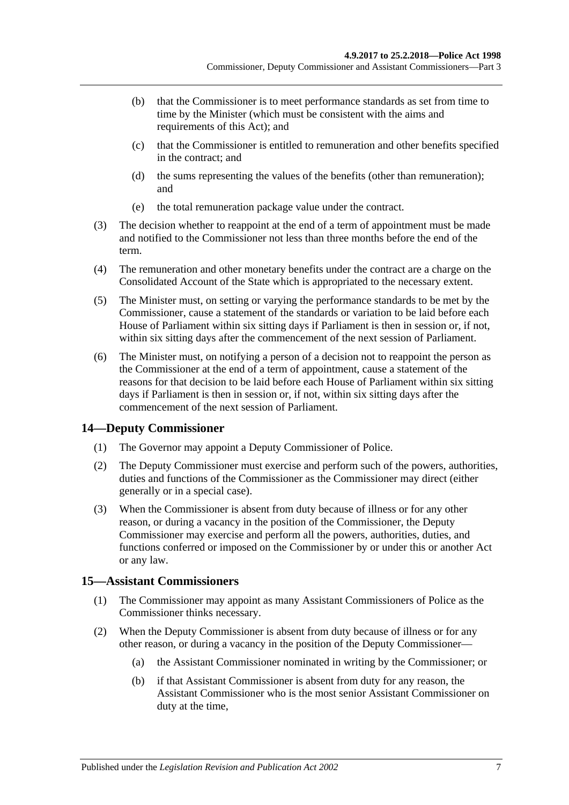- (b) that the Commissioner is to meet performance standards as set from time to time by the Minister (which must be consistent with the aims and requirements of this Act); and
- (c) that the Commissioner is entitled to remuneration and other benefits specified in the contract; and
- (d) the sums representing the values of the benefits (other than remuneration); and
- (e) the total remuneration package value under the contract.
- (3) The decision whether to reappoint at the end of a term of appointment must be made and notified to the Commissioner not less than three months before the end of the term.
- (4) The remuneration and other monetary benefits under the contract are a charge on the Consolidated Account of the State which is appropriated to the necessary extent.
- (5) The Minister must, on setting or varying the performance standards to be met by the Commissioner, cause a statement of the standards or variation to be laid before each House of Parliament within six sitting days if Parliament is then in session or, if not, within six sitting days after the commencement of the next session of Parliament.
- (6) The Minister must, on notifying a person of a decision not to reappoint the person as the Commissioner at the end of a term of appointment, cause a statement of the reasons for that decision to be laid before each House of Parliament within six sitting days if Parliament is then in session or, if not, within six sitting days after the commencement of the next session of Parliament.

## <span id="page-6-0"></span>**14—Deputy Commissioner**

- (1) The Governor may appoint a Deputy Commissioner of Police.
- (2) The Deputy Commissioner must exercise and perform such of the powers, authorities, duties and functions of the Commissioner as the Commissioner may direct (either generally or in a special case).
- (3) When the Commissioner is absent from duty because of illness or for any other reason, or during a vacancy in the position of the Commissioner, the Deputy Commissioner may exercise and perform all the powers, authorities, duties, and functions conferred or imposed on the Commissioner by or under this or another Act or any law.

## <span id="page-6-1"></span>**15—Assistant Commissioners**

- (1) The Commissioner may appoint as many Assistant Commissioners of Police as the Commissioner thinks necessary.
- (2) When the Deputy Commissioner is absent from duty because of illness or for any other reason, or during a vacancy in the position of the Deputy Commissioner—
	- (a) the Assistant Commissioner nominated in writing by the Commissioner; or
	- (b) if that Assistant Commissioner is absent from duty for any reason, the Assistant Commissioner who is the most senior Assistant Commissioner on duty at the time,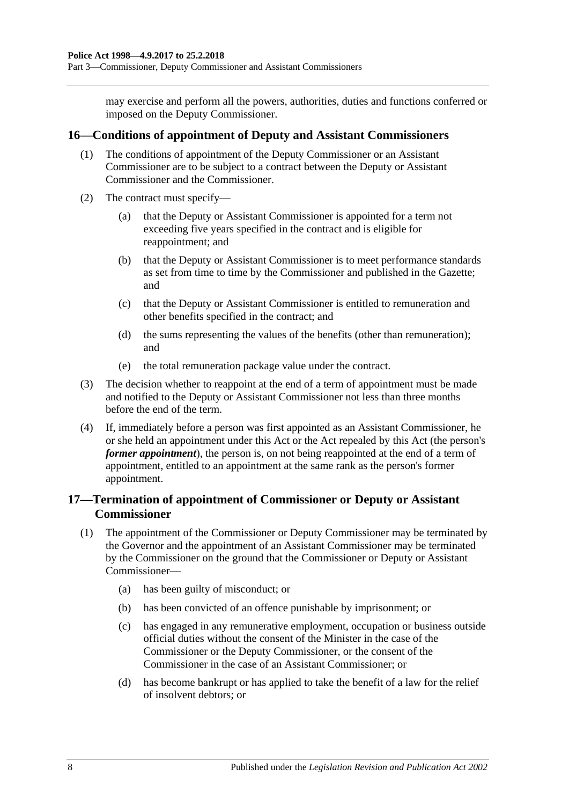may exercise and perform all the powers, authorities, duties and functions conferred or imposed on the Deputy Commissioner.

#### <span id="page-7-0"></span>**16—Conditions of appointment of Deputy and Assistant Commissioners**

- (1) The conditions of appointment of the Deputy Commissioner or an Assistant Commissioner are to be subject to a contract between the Deputy or Assistant Commissioner and the Commissioner.
- (2) The contract must specify—
	- (a) that the Deputy or Assistant Commissioner is appointed for a term not exceeding five years specified in the contract and is eligible for reappointment; and
	- (b) that the Deputy or Assistant Commissioner is to meet performance standards as set from time to time by the Commissioner and published in the Gazette; and
	- (c) that the Deputy or Assistant Commissioner is entitled to remuneration and other benefits specified in the contract; and
	- (d) the sums representing the values of the benefits (other than remuneration); and
	- (e) the total remuneration package value under the contract.
- (3) The decision whether to reappoint at the end of a term of appointment must be made and notified to the Deputy or Assistant Commissioner not less than three months before the end of the term.
- (4) If, immediately before a person was first appointed as an Assistant Commissioner, he or she held an appointment under this Act or the Act repealed by this Act (the person's *former appointment*), the person is, on not being reappointed at the end of a term of appointment, entitled to an appointment at the same rank as the person's former appointment.

## <span id="page-7-1"></span>**17—Termination of appointment of Commissioner or Deputy or Assistant Commissioner**

- (1) The appointment of the Commissioner or Deputy Commissioner may be terminated by the Governor and the appointment of an Assistant Commissioner may be terminated by the Commissioner on the ground that the Commissioner or Deputy or Assistant Commissioner—
	- (a) has been guilty of misconduct; or
	- (b) has been convicted of an offence punishable by imprisonment; or
	- (c) has engaged in any remunerative employment, occupation or business outside official duties without the consent of the Minister in the case of the Commissioner or the Deputy Commissioner, or the consent of the Commissioner in the case of an Assistant Commissioner; or
	- (d) has become bankrupt or has applied to take the benefit of a law for the relief of insolvent debtors; or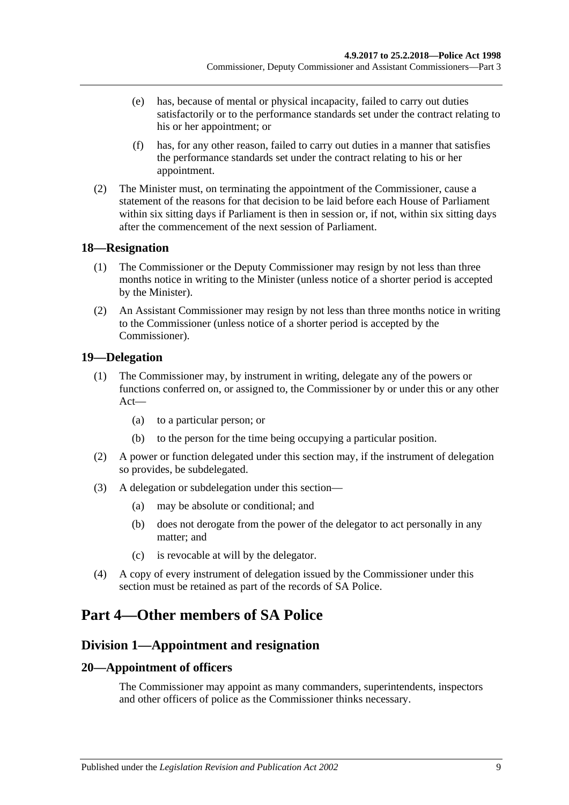- (e) has, because of mental or physical incapacity, failed to carry out duties satisfactorily or to the performance standards set under the contract relating to his or her appointment; or
- (f) has, for any other reason, failed to carry out duties in a manner that satisfies the performance standards set under the contract relating to his or her appointment.
- (2) The Minister must, on terminating the appointment of the Commissioner, cause a statement of the reasons for that decision to be laid before each House of Parliament within six sitting days if Parliament is then in session or, if not, within six sitting days after the commencement of the next session of Parliament.

#### <span id="page-8-0"></span>**18—Resignation**

- (1) The Commissioner or the Deputy Commissioner may resign by not less than three months notice in writing to the Minister (unless notice of a shorter period is accepted by the Minister).
- (2) An Assistant Commissioner may resign by not less than three months notice in writing to the Commissioner (unless notice of a shorter period is accepted by the Commissioner).

## <span id="page-8-1"></span>**19—Delegation**

- (1) The Commissioner may, by instrument in writing, delegate any of the powers or functions conferred on, or assigned to, the Commissioner by or under this or any other Act—
	- (a) to a particular person; or
	- (b) to the person for the time being occupying a particular position.
- (2) A power or function delegated under this section may, if the instrument of delegation so provides, be subdelegated.
- (3) A delegation or subdelegation under this section—
	- (a) may be absolute or conditional; and
	- (b) does not derogate from the power of the delegator to act personally in any matter; and
	- (c) is revocable at will by the delegator.
- (4) A copy of every instrument of delegation issued by the Commissioner under this section must be retained as part of the records of SA Police.

## <span id="page-8-2"></span>**Part 4—Other members of SA Police**

## <span id="page-8-3"></span>**Division 1—Appointment and resignation**

## <span id="page-8-4"></span>**20—Appointment of officers**

The Commissioner may appoint as many commanders, superintendents, inspectors and other officers of police as the Commissioner thinks necessary.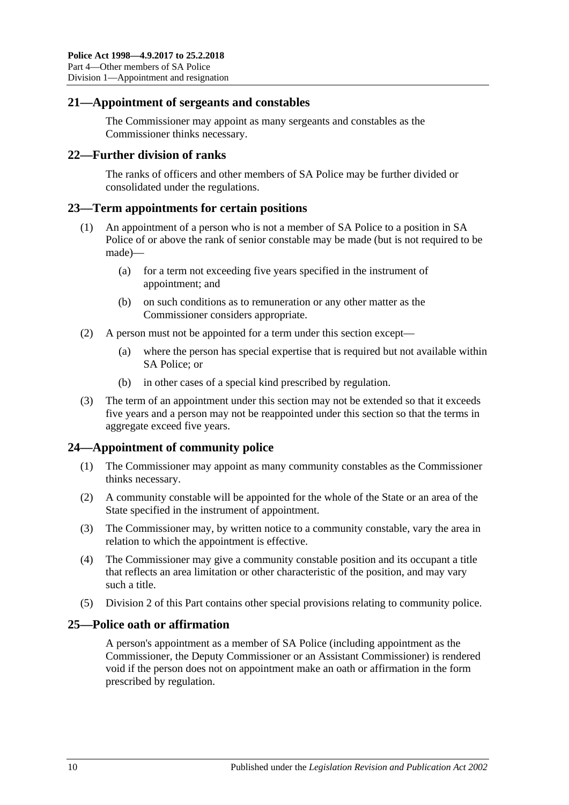#### <span id="page-9-0"></span>**21—Appointment of sergeants and constables**

The Commissioner may appoint as many sergeants and constables as the Commissioner thinks necessary.

#### <span id="page-9-1"></span>**22—Further division of ranks**

The ranks of officers and other members of SA Police may be further divided or consolidated under the regulations.

#### <span id="page-9-2"></span>**23—Term appointments for certain positions**

- (1) An appointment of a person who is not a member of SA Police to a position in SA Police of or above the rank of senior constable may be made (but is not required to be made)—
	- (a) for a term not exceeding five years specified in the instrument of appointment; and
	- (b) on such conditions as to remuneration or any other matter as the Commissioner considers appropriate.
- (2) A person must not be appointed for a term under this section except—
	- (a) where the person has special expertise that is required but not available within SA Police; or
	- (b) in other cases of a special kind prescribed by regulation.
- (3) The term of an appointment under this section may not be extended so that it exceeds five years and a person may not be reappointed under this section so that the terms in aggregate exceed five years.

## <span id="page-9-3"></span>**24—Appointment of community police**

- (1) The Commissioner may appoint as many community constables as the Commissioner thinks necessary.
- (2) A community constable will be appointed for the whole of the State or an area of the State specified in the instrument of appointment.
- (3) The Commissioner may, by written notice to a community constable, vary the area in relation to which the appointment is effective.
- (4) The Commissioner may give a community constable position and its occupant a title that reflects an area limitation or other characteristic of the position, and may vary such a title.
- (5) [Division 2](#page-11-2) of this Part contains other special provisions relating to community police.

## <span id="page-9-4"></span>**25—Police oath or affirmation**

A person's appointment as a member of SA Police (including appointment as the Commissioner, the Deputy Commissioner or an Assistant Commissioner) is rendered void if the person does not on appointment make an oath or affirmation in the form prescribed by regulation.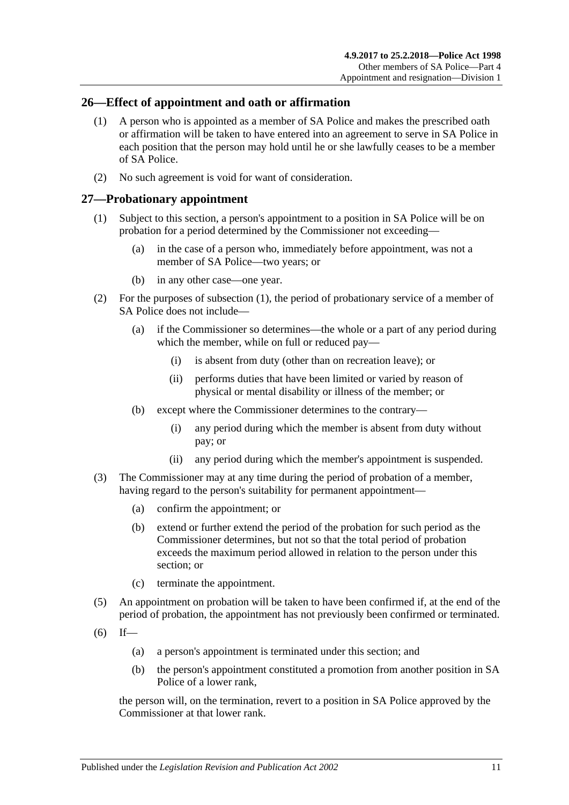#### <span id="page-10-0"></span>**26—Effect of appointment and oath or affirmation**

- (1) A person who is appointed as a member of SA Police and makes the prescribed oath or affirmation will be taken to have entered into an agreement to serve in SA Police in each position that the person may hold until he or she lawfully ceases to be a member of SA Police.
- (2) No such agreement is void for want of consideration.

#### <span id="page-10-2"></span><span id="page-10-1"></span>**27—Probationary appointment**

- (1) Subject to this section, a person's appointment to a position in SA Police will be on probation for a period determined by the Commissioner not exceeding—
	- (a) in the case of a person who, immediately before appointment, was not a member of SA Police—two years; or
	- (b) in any other case—one year.
- (2) For the purposes of [subsection](#page-10-2) (1), the period of probationary service of a member of SA Police does not include—
	- (a) if the Commissioner so determines—the whole or a part of any period during which the member, while on full or reduced pay—
		- (i) is absent from duty (other than on recreation leave); or
		- (ii) performs duties that have been limited or varied by reason of physical or mental disability or illness of the member; or
	- (b) except where the Commissioner determines to the contrary—
		- (i) any period during which the member is absent from duty without pay; or
		- (ii) any period during which the member's appointment is suspended.
- (3) The Commissioner may at any time during the period of probation of a member, having regard to the person's suitability for permanent appointment—
	- (a) confirm the appointment; or
	- (b) extend or further extend the period of the probation for such period as the Commissioner determines, but not so that the total period of probation exceeds the maximum period allowed in relation to the person under this section; or
	- (c) terminate the appointment.
- (5) An appointment on probation will be taken to have been confirmed if, at the end of the period of probation, the appointment has not previously been confirmed or terminated.
- $(6)$  If—
	- (a) a person's appointment is terminated under this section; and
	- (b) the person's appointment constituted a promotion from another position in SA Police of a lower rank,

the person will, on the termination, revert to a position in SA Police approved by the Commissioner at that lower rank.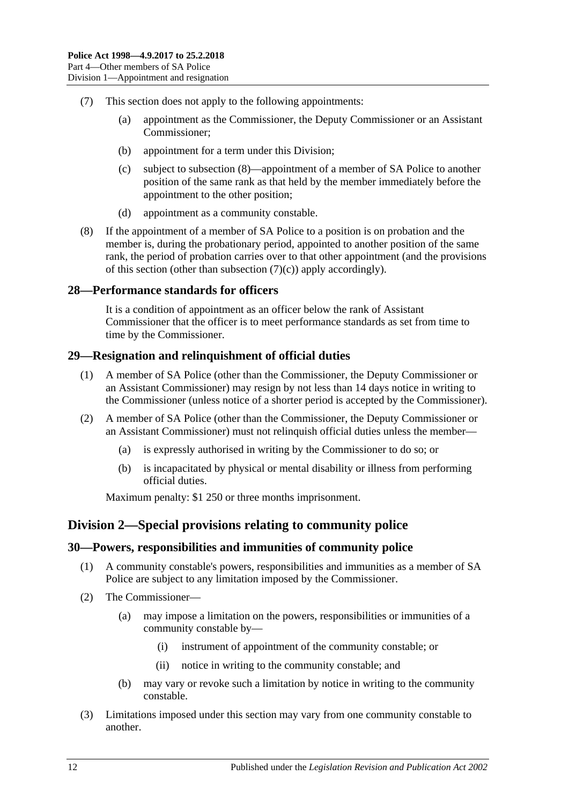- <span id="page-11-5"></span>(7) This section does not apply to the following appointments:
	- (a) appointment as the Commissioner, the Deputy Commissioner or an Assistant Commissioner;
	- (b) appointment for a term under this Division;
	- (c) subject to [subsection](#page-11-4) (8)—appointment of a member of SA Police to another position of the same rank as that held by the member immediately before the appointment to the other position;
	- (d) appointment as a community constable.
- <span id="page-11-4"></span>(8) If the appointment of a member of SA Police to a position is on probation and the member is, during the probationary period, appointed to another position of the same rank, the period of probation carries over to that other appointment (and the provisions of this section (other than [subsection](#page-11-5)  $(7)(c)$ ) apply accordingly).

#### <span id="page-11-0"></span>**28—Performance standards for officers**

It is a condition of appointment as an officer below the rank of Assistant Commissioner that the officer is to meet performance standards as set from time to time by the Commissioner.

#### <span id="page-11-1"></span>**29—Resignation and relinquishment of official duties**

- (1) A member of SA Police (other than the Commissioner, the Deputy Commissioner or an Assistant Commissioner) may resign by not less than 14 days notice in writing to the Commissioner (unless notice of a shorter period is accepted by the Commissioner).
- (2) A member of SA Police (other than the Commissioner, the Deputy Commissioner or an Assistant Commissioner) must not relinquish official duties unless the member—
	- (a) is expressly authorised in writing by the Commissioner to do so; or
	- (b) is incapacitated by physical or mental disability or illness from performing official duties.

Maximum penalty: \$1 250 or three months imprisonment.

## <span id="page-11-2"></span>**Division 2—Special provisions relating to community police**

#### <span id="page-11-3"></span>**30—Powers, responsibilities and immunities of community police**

- (1) A community constable's powers, responsibilities and immunities as a member of SA Police are subject to any limitation imposed by the Commissioner.
- (2) The Commissioner—
	- (a) may impose a limitation on the powers, responsibilities or immunities of a community constable by—
		- (i) instrument of appointment of the community constable; or
		- (ii) notice in writing to the community constable; and
	- (b) may vary or revoke such a limitation by notice in writing to the community constable.
- (3) Limitations imposed under this section may vary from one community constable to another.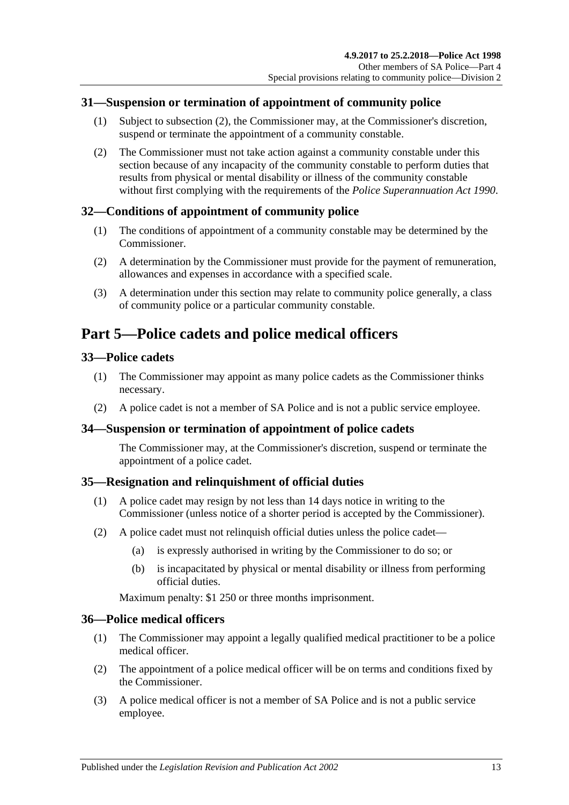## <span id="page-12-0"></span>**31—Suspension or termination of appointment of community police**

- (1) Subject to [subsection](#page-12-7) (2), the Commissioner may, at the Commissioner's discretion, suspend or terminate the appointment of a community constable.
- <span id="page-12-7"></span>(2) The Commissioner must not take action against a community constable under this section because of any incapacity of the community constable to perform duties that results from physical or mental disability or illness of the community constable without first complying with the requirements of the *[Police Superannuation Act](http://www.legislation.sa.gov.au/index.aspx?action=legref&type=act&legtitle=Police%20Superannuation%20Act%201990) 1990*.

## <span id="page-12-1"></span>**32—Conditions of appointment of community police**

- (1) The conditions of appointment of a community constable may be determined by the Commissioner.
- (2) A determination by the Commissioner must provide for the payment of remuneration, allowances and expenses in accordance with a specified scale.
- (3) A determination under this section may relate to community police generally, a class of community police or a particular community constable.

## <span id="page-12-2"></span>**Part 5—Police cadets and police medical officers**

#### <span id="page-12-3"></span>**33—Police cadets**

- (1) The Commissioner may appoint as many police cadets as the Commissioner thinks necessary.
- (2) A police cadet is not a member of SA Police and is not a public service employee.

#### <span id="page-12-4"></span>**34—Suspension or termination of appointment of police cadets**

The Commissioner may, at the Commissioner's discretion, suspend or terminate the appointment of a police cadet.

## <span id="page-12-5"></span>**35—Resignation and relinquishment of official duties**

- (1) A police cadet may resign by not less than 14 days notice in writing to the Commissioner (unless notice of a shorter period is accepted by the Commissioner).
- (2) A police cadet must not relinquish official duties unless the police cadet—
	- (a) is expressly authorised in writing by the Commissioner to do so; or
	- (b) is incapacitated by physical or mental disability or illness from performing official duties.

Maximum penalty: \$1 250 or three months imprisonment.

#### <span id="page-12-6"></span>**36—Police medical officers**

- (1) The Commissioner may appoint a legally qualified medical practitioner to be a police medical officer.
- (2) The appointment of a police medical officer will be on terms and conditions fixed by the Commissioner.
- (3) A police medical officer is not a member of SA Police and is not a public service employee.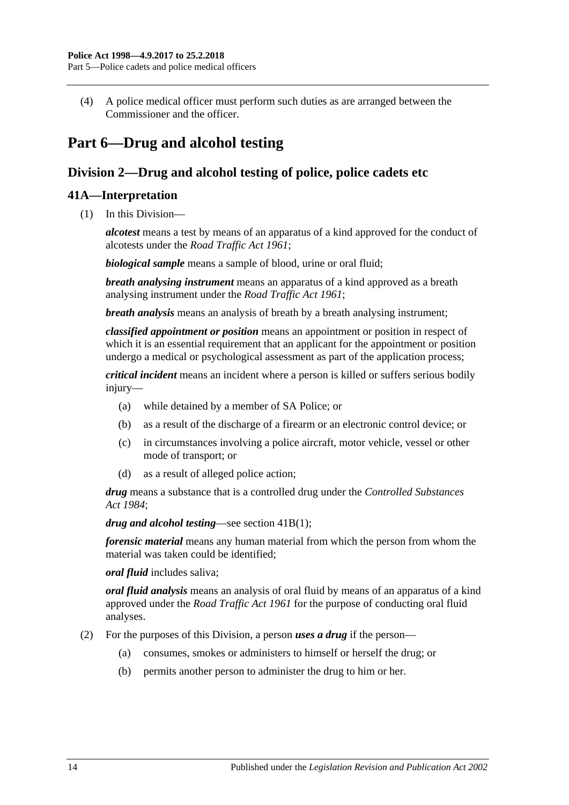(4) A police medical officer must perform such duties as are arranged between the Commissioner and the officer.

## <span id="page-13-0"></span>**Part 6—Drug and alcohol testing**

## <span id="page-13-1"></span>**Division 2—Drug and alcohol testing of police, police cadets etc**

## <span id="page-13-2"></span>**41A—Interpretation**

(1) In this Division—

*alcotest* means a test by means of an apparatus of a kind approved for the conduct of alcotests under the *[Road Traffic Act](http://www.legislation.sa.gov.au/index.aspx?action=legref&type=act&legtitle=Road%20Traffic%20Act%201961) 1961*;

*biological sample* means a sample of blood, urine or oral fluid;

*breath analysing instrument* means an apparatus of a kind approved as a breath analysing instrument under the *[Road Traffic Act](http://www.legislation.sa.gov.au/index.aspx?action=legref&type=act&legtitle=Road%20Traffic%20Act%201961) 1961*;

*breath analysis* means an analysis of breath by a breath analysing instrument;

*classified appointment or position* means an appointment or position in respect of which it is an essential requirement that an applicant for the appointment or position undergo a medical or psychological assessment as part of the application process;

*critical incident* means an incident where a person is killed or suffers serious bodily injury—

- (a) while detained by a member of SA Police; or
- (b) as a result of the discharge of a firearm or an electronic control device; or
- (c) in circumstances involving a police aircraft, motor vehicle, vessel or other mode of transport; or
- (d) as a result of alleged police action;

*drug* means a substance that is a controlled drug under the *[Controlled Substances](http://www.legislation.sa.gov.au/index.aspx?action=legref&type=act&legtitle=Controlled%20Substances%20Act%201984)  Act [1984](http://www.legislation.sa.gov.au/index.aspx?action=legref&type=act&legtitle=Controlled%20Substances%20Act%201984)*;

*drug and alcohol testing*—see section [41B\(1\);](#page-14-3)

*forensic material* means any human material from which the person from whom the material was taken could be identified;

#### *oral fluid* includes saliva;

*oral fluid analysis* means an analysis of oral fluid by means of an apparatus of a kind approved under the *[Road Traffic Act](http://www.legislation.sa.gov.au/index.aspx?action=legref&type=act&legtitle=Road%20Traffic%20Act%201961) 1961* for the purpose of conducting oral fluid analyses.

- (2) For the purposes of this Division, a person *uses a drug* if the person—
	- (a) consumes, smokes or administers to himself or herself the drug; or
	- (b) permits another person to administer the drug to him or her.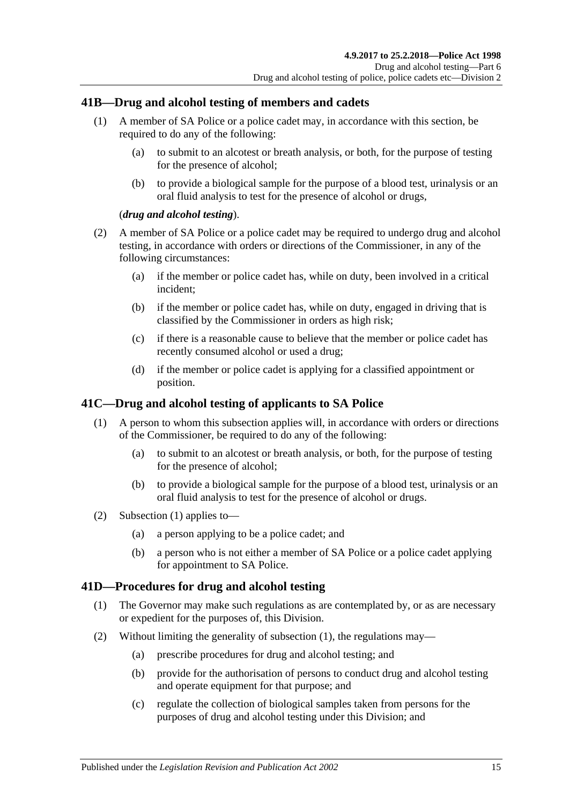## <span id="page-14-3"></span><span id="page-14-0"></span>**41B—Drug and alcohol testing of members and cadets**

- (1) A member of SA Police or a police cadet may, in accordance with this section, be required to do any of the following:
	- (a) to submit to an alcotest or breath analysis, or both, for the purpose of testing for the presence of alcohol;
	- (b) to provide a biological sample for the purpose of a blood test, urinalysis or an oral fluid analysis to test for the presence of alcohol or drugs,

#### (*drug and alcohol testing*).

- (2) A member of SA Police or a police cadet may be required to undergo drug and alcohol testing, in accordance with orders or directions of the Commissioner, in any of the following circumstances:
	- (a) if the member or police cadet has, while on duty, been involved in a critical incident;
	- (b) if the member or police cadet has, while on duty, engaged in driving that is classified by the Commissioner in orders as high risk;
	- (c) if there is a reasonable cause to believe that the member or police cadet has recently consumed alcohol or used a drug;
	- (d) if the member or police cadet is applying for a classified appointment or position.

## <span id="page-14-4"></span><span id="page-14-1"></span>**41C—Drug and alcohol testing of applicants to SA Police**

- (1) A person to whom this subsection applies will, in accordance with orders or directions of the Commissioner, be required to do any of the following:
	- (a) to submit to an alcotest or breath analysis, or both, for the purpose of testing for the presence of alcohol;
	- (b) to provide a biological sample for the purpose of a blood test, urinalysis or an oral fluid analysis to test for the presence of alcohol or drugs.
- (2) [Subsection \(1\)](#page-14-4) applies to—
	- (a) a person applying to be a police cadet; and
	- (b) a person who is not either a member of SA Police or a police cadet applying for appointment to SA Police.

## <span id="page-14-5"></span><span id="page-14-2"></span>**41D—Procedures for drug and alcohol testing**

- (1) The Governor may make such regulations as are contemplated by, or as are necessary or expedient for the purposes of, this Division.
- (2) Without limiting the generality of [subsection](#page-14-5) (1), the regulations may—
	- (a) prescribe procedures for drug and alcohol testing; and
	- (b) provide for the authorisation of persons to conduct drug and alcohol testing and operate equipment for that purpose; and
	- (c) regulate the collection of biological samples taken from persons for the purposes of drug and alcohol testing under this Division; and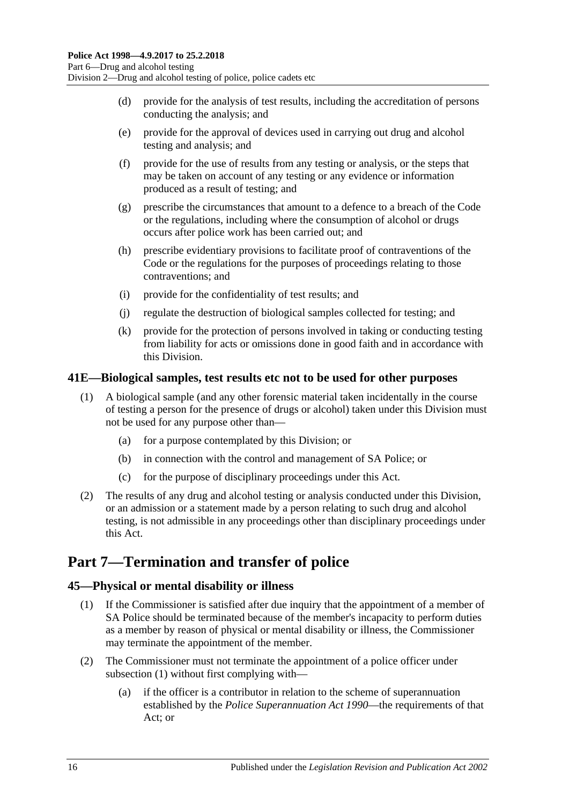- (d) provide for the analysis of test results, including the accreditation of persons conducting the analysis; and
- (e) provide for the approval of devices used in carrying out drug and alcohol testing and analysis; and
- (f) provide for the use of results from any testing or analysis, or the steps that may be taken on account of any testing or any evidence or information produced as a result of testing; and
- (g) prescribe the circumstances that amount to a defence to a breach of the Code or the regulations, including where the consumption of alcohol or drugs occurs after police work has been carried out; and
- (h) prescribe evidentiary provisions to facilitate proof of contraventions of the Code or the regulations for the purposes of proceedings relating to those contraventions; and
- (i) provide for the confidentiality of test results; and
- (j) regulate the destruction of biological samples collected for testing; and
- (k) provide for the protection of persons involved in taking or conducting testing from liability for acts or omissions done in good faith and in accordance with this Division.

## <span id="page-15-0"></span>**41E—Biological samples, test results etc not to be used for other purposes**

- (1) A biological sample (and any other forensic material taken incidentally in the course of testing a person for the presence of drugs or alcohol) taken under this Division must not be used for any purpose other than—
	- (a) for a purpose contemplated by this Division; or
	- (b) in connection with the control and management of SA Police; or
	- (c) for the purpose of disciplinary proceedings under this Act.
- (2) The results of any drug and alcohol testing or analysis conducted under this Division, or an admission or a statement made by a person relating to such drug and alcohol testing, is not admissible in any proceedings other than disciplinary proceedings under this Act.

## <span id="page-15-1"></span>**Part 7—Termination and transfer of police**

## <span id="page-15-3"></span><span id="page-15-2"></span>**45—Physical or mental disability or illness**

- (1) If the Commissioner is satisfied after due inquiry that the appointment of a member of SA Police should be terminated because of the member's incapacity to perform duties as a member by reason of physical or mental disability or illness, the Commissioner may terminate the appointment of the member.
- (2) The Commissioner must not terminate the appointment of a police officer under [subsection](#page-15-3) (1) without first complying with—
	- (a) if the officer is a contributor in relation to the scheme of superannuation established by the *[Police Superannuation Act](http://www.legislation.sa.gov.au/index.aspx?action=legref&type=act&legtitle=Police%20Superannuation%20Act%201990) 1990*—the requirements of that Act; or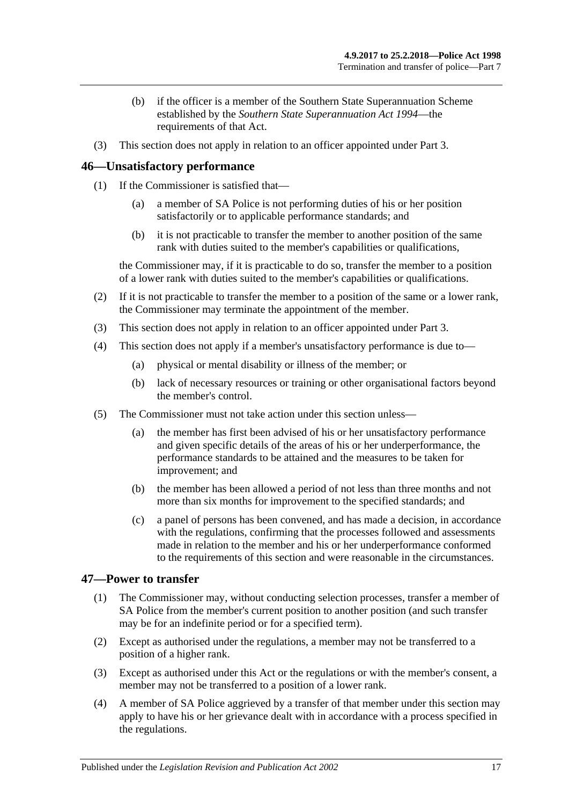- (b) if the officer is a member of the Southern State Superannuation Scheme established by the *[Southern State Superannuation Act](http://www.legislation.sa.gov.au/index.aspx?action=legref&type=act&legtitle=Southern%20State%20Superannuation%20Act%201994) 1994*—the requirements of that Act.
- (3) This section does not apply in relation to an officer appointed under [Part 3.](#page-5-1)

## <span id="page-16-0"></span>**46—Unsatisfactory performance**

- (1) If the Commissioner is satisfied that
	- a member of SA Police is not performing duties of his or her position satisfactorily or to applicable performance standards; and
	- (b) it is not practicable to transfer the member to another position of the same rank with duties suited to the member's capabilities or qualifications,

the Commissioner may, if it is practicable to do so, transfer the member to a position of a lower rank with duties suited to the member's capabilities or qualifications.

- (2) If it is not practicable to transfer the member to a position of the same or a lower rank, the Commissioner may terminate the appointment of the member.
- (3) This section does not apply in relation to an officer appointed under [Part 3.](#page-5-1)
- (4) This section does not apply if a member's unsatisfactory performance is due to—
	- (a) physical or mental disability or illness of the member; or
	- (b) lack of necessary resources or training or other organisational factors beyond the member's control.
- (5) The Commissioner must not take action under this section unless—
	- (a) the member has first been advised of his or her unsatisfactory performance and given specific details of the areas of his or her underperformance, the performance standards to be attained and the measures to be taken for improvement; and
	- (b) the member has been allowed a period of not less than three months and not more than six months for improvement to the specified standards; and
	- (c) a panel of persons has been convened, and has made a decision, in accordance with the regulations, confirming that the processes followed and assessments made in relation to the member and his or her underperformance conformed to the requirements of this section and were reasonable in the circumstances.

#### <span id="page-16-1"></span>**47—Power to transfer**

- (1) The Commissioner may, without conducting selection processes, transfer a member of SA Police from the member's current position to another position (and such transfer may be for an indefinite period or for a specified term).
- (2) Except as authorised under the regulations, a member may not be transferred to a position of a higher rank.
- (3) Except as authorised under this Act or the regulations or with the member's consent, a member may not be transferred to a position of a lower rank.
- (4) A member of SA Police aggrieved by a transfer of that member under this section may apply to have his or her grievance dealt with in accordance with a process specified in the regulations.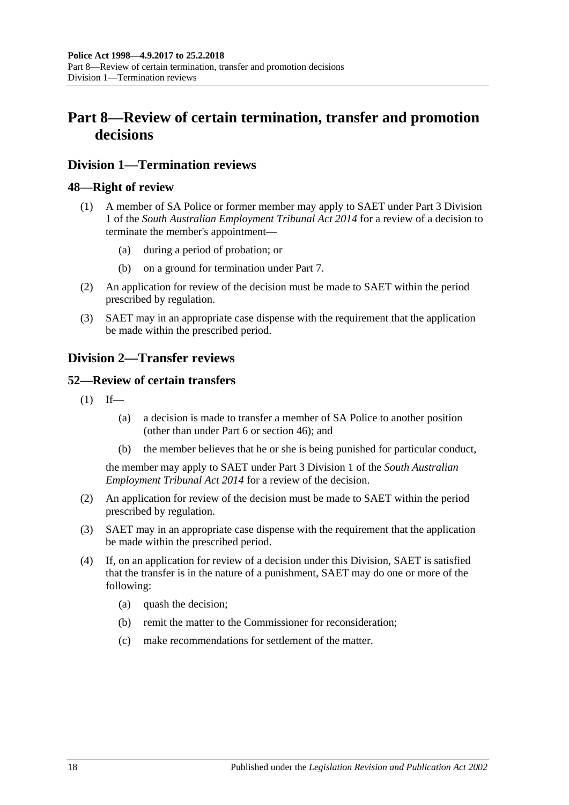## <span id="page-17-0"></span>**Part 8—Review of certain termination, transfer and promotion decisions**

## <span id="page-17-1"></span>**Division 1—Termination reviews**

#### <span id="page-17-2"></span>**48—Right of review**

- (1) A member of SA Police or former member may apply to SAET under Part 3 Division 1 of the *[South Australian Employment Tribunal Act](http://www.legislation.sa.gov.au/index.aspx?action=legref&type=act&legtitle=South%20Australian%20Employment%20Tribunal%20Act%202014) 2014* for a review of a decision to terminate the member's appointment—
	- (a) during a period of probation; or
	- (b) on a ground for termination under [Part 7.](#page-15-1)
- (2) An application for review of the decision must be made to SAET within the period prescribed by regulation.
- (3) SAET may in an appropriate case dispense with the requirement that the application be made within the prescribed period.

## <span id="page-17-3"></span>**Division 2—Transfer reviews**

#### <span id="page-17-4"></span>**52—Review of certain transfers**

- $(1)$  If—
	- (a) a decision is made to transfer a member of SA Police to another position (other than under [Part 6](#page-13-0) or [section](#page-16-0) 46); and
	- (b) the member believes that he or she is being punished for particular conduct,

the member may apply to SAET under Part 3 Division 1 of the *[South Australian](http://www.legislation.sa.gov.au/index.aspx?action=legref&type=act&legtitle=South%20Australian%20Employment%20Tribunal%20Act%202014)  [Employment Tribunal Act](http://www.legislation.sa.gov.au/index.aspx?action=legref&type=act&legtitle=South%20Australian%20Employment%20Tribunal%20Act%202014) 2014* for a review of the decision.

- (2) An application for review of the decision must be made to SAET within the period prescribed by regulation.
- (3) SAET may in an appropriate case dispense with the requirement that the application be made within the prescribed period.
- (4) If, on an application for review of a decision under this Division, SAET is satisfied that the transfer is in the nature of a punishment, SAET may do one or more of the following:
	- (a) quash the decision;
	- (b) remit the matter to the Commissioner for reconsideration;
	- (c) make recommendations for settlement of the matter.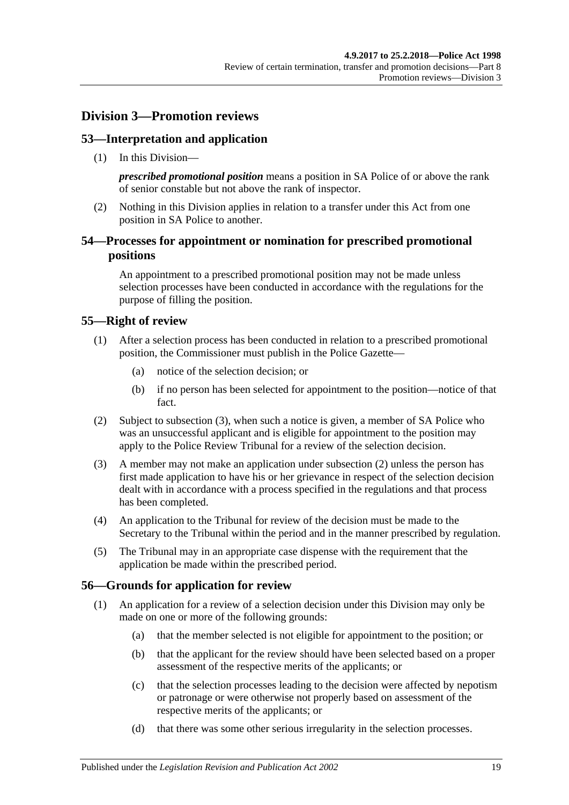## <span id="page-18-0"></span>**Division 3—Promotion reviews**

## <span id="page-18-1"></span>**53—Interpretation and application**

(1) In this Division—

*prescribed promotional position* means a position in SA Police of or above the rank of senior constable but not above the rank of inspector.

(2) Nothing in this Division applies in relation to a transfer under this Act from one position in SA Police to another.

## <span id="page-18-2"></span>**54—Processes for appointment or nomination for prescribed promotional positions**

An appointment to a prescribed promotional position may not be made unless selection processes have been conducted in accordance with the regulations for the purpose of filling the position.

#### <span id="page-18-3"></span>**55—Right of review**

- (1) After a selection process has been conducted in relation to a prescribed promotional position, the Commissioner must publish in the Police Gazette—
	- (a) notice of the selection decision; or
	- (b) if no person has been selected for appointment to the position—notice of that fact.
- <span id="page-18-6"></span>(2) Subject to [subsection](#page-18-5) (3), when such a notice is given, a member of SA Police who was an unsuccessful applicant and is eligible for appointment to the position may apply to the Police Review Tribunal for a review of the selection decision.
- <span id="page-18-5"></span>(3) A member may not make an application under [subsection](#page-18-6) (2) unless the person has first made application to have his or her grievance in respect of the selection decision dealt with in accordance with a process specified in the regulations and that process has been completed.
- (4) An application to the Tribunal for review of the decision must be made to the Secretary to the Tribunal within the period and in the manner prescribed by regulation.
- (5) The Tribunal may in an appropriate case dispense with the requirement that the application be made within the prescribed period.

#### <span id="page-18-4"></span>**56—Grounds for application for review**

- (1) An application for a review of a selection decision under this Division may only be made on one or more of the following grounds:
	- (a) that the member selected is not eligible for appointment to the position; or
	- (b) that the applicant for the review should have been selected based on a proper assessment of the respective merits of the applicants; or
	- (c) that the selection processes leading to the decision were affected by nepotism or patronage or were otherwise not properly based on assessment of the respective merits of the applicants; or
	- (d) that there was some other serious irregularity in the selection processes.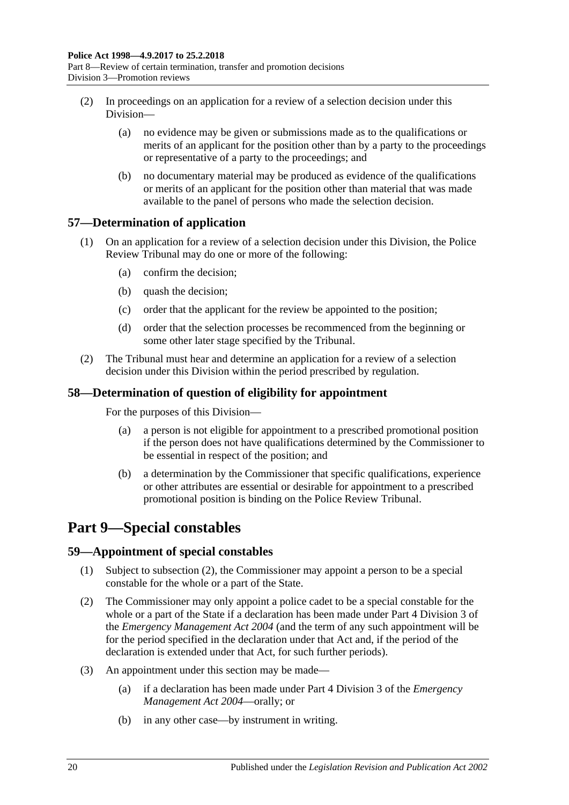- (2) In proceedings on an application for a review of a selection decision under this Division—
	- (a) no evidence may be given or submissions made as to the qualifications or merits of an applicant for the position other than by a party to the proceedings or representative of a party to the proceedings; and
	- (b) no documentary material may be produced as evidence of the qualifications or merits of an applicant for the position other than material that was made available to the panel of persons who made the selection decision.

## <span id="page-19-0"></span>**57—Determination of application**

- (1) On an application for a review of a selection decision under this Division, the Police Review Tribunal may do one or more of the following:
	- (a) confirm the decision;
	- (b) quash the decision;
	- (c) order that the applicant for the review be appointed to the position;
	- (d) order that the selection processes be recommenced from the beginning or some other later stage specified by the Tribunal.
- (2) The Tribunal must hear and determine an application for a review of a selection decision under this Division within the period prescribed by regulation.

## <span id="page-19-1"></span>**58—Determination of question of eligibility for appointment**

For the purposes of this Division—

- (a) a person is not eligible for appointment to a prescribed promotional position if the person does not have qualifications determined by the Commissioner to be essential in respect of the position; and
- (b) a determination by the Commissioner that specific qualifications, experience or other attributes are essential or desirable for appointment to a prescribed promotional position is binding on the Police Review Tribunal.

## <span id="page-19-2"></span>**Part 9—Special constables**

## <span id="page-19-3"></span>**59—Appointment of special constables**

- (1) Subject to [subsection](#page-19-4) (2), the Commissioner may appoint a person to be a special constable for the whole or a part of the State.
- <span id="page-19-4"></span>(2) The Commissioner may only appoint a police cadet to be a special constable for the whole or a part of the State if a declaration has been made under Part 4 Division 3 of the *[Emergency Management Act](http://www.legislation.sa.gov.au/index.aspx?action=legref&type=act&legtitle=Emergency%20Management%20Act%202004) 2004* (and the term of any such appointment will be for the period specified in the declaration under that Act and, if the period of the declaration is extended under that Act, for such further periods).
- <span id="page-19-5"></span>(3) An appointment under this section may be made—
	- (a) if a declaration has been made under Part 4 Division 3 of the *[Emergency](http://www.legislation.sa.gov.au/index.aspx?action=legref&type=act&legtitle=Emergency%20Management%20Act%202004)  [Management Act](http://www.legislation.sa.gov.au/index.aspx?action=legref&type=act&legtitle=Emergency%20Management%20Act%202004) 2004*—orally; or
	- (b) in any other case—by instrument in writing.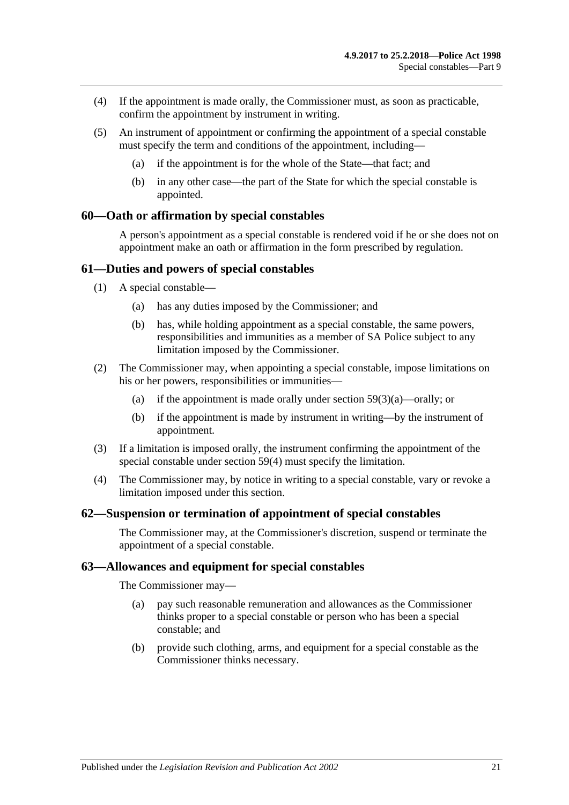- <span id="page-20-4"></span>(4) If the appointment is made orally, the Commissioner must, as soon as practicable, confirm the appointment by instrument in writing.
- (5) An instrument of appointment or confirming the appointment of a special constable must specify the term and conditions of the appointment, including—
	- (a) if the appointment is for the whole of the State—that fact; and
	- (b) in any other case—the part of the State for which the special constable is appointed.

#### <span id="page-20-0"></span>**60—Oath or affirmation by special constables**

A person's appointment as a special constable is rendered void if he or she does not on appointment make an oath or affirmation in the form prescribed by regulation.

#### <span id="page-20-1"></span>**61—Duties and powers of special constables**

- (1) A special constable—
	- (a) has any duties imposed by the Commissioner; and
	- (b) has, while holding appointment as a special constable, the same powers, responsibilities and immunities as a member of SA Police subject to any limitation imposed by the Commissioner.
- (2) The Commissioner may, when appointing a special constable, impose limitations on his or her powers, responsibilities or immunities—
	- (a) if the appointment is made orally under section  $59(3)(a)$ —orally; or
	- (b) if the appointment is made by instrument in writing—by the instrument of appointment.
- (3) If a limitation is imposed orally, the instrument confirming the appointment of the special constable under [section](#page-20-4) 59(4) must specify the limitation.
- (4) The Commissioner may, by notice in writing to a special constable, vary or revoke a limitation imposed under this section.

#### <span id="page-20-2"></span>**62—Suspension or termination of appointment of special constables**

The Commissioner may, at the Commissioner's discretion, suspend or terminate the appointment of a special constable.

#### <span id="page-20-3"></span>**63—Allowances and equipment for special constables**

The Commissioner may—

- (a) pay such reasonable remuneration and allowances as the Commissioner thinks proper to a special constable or person who has been a special constable; and
- (b) provide such clothing, arms, and equipment for a special constable as the Commissioner thinks necessary.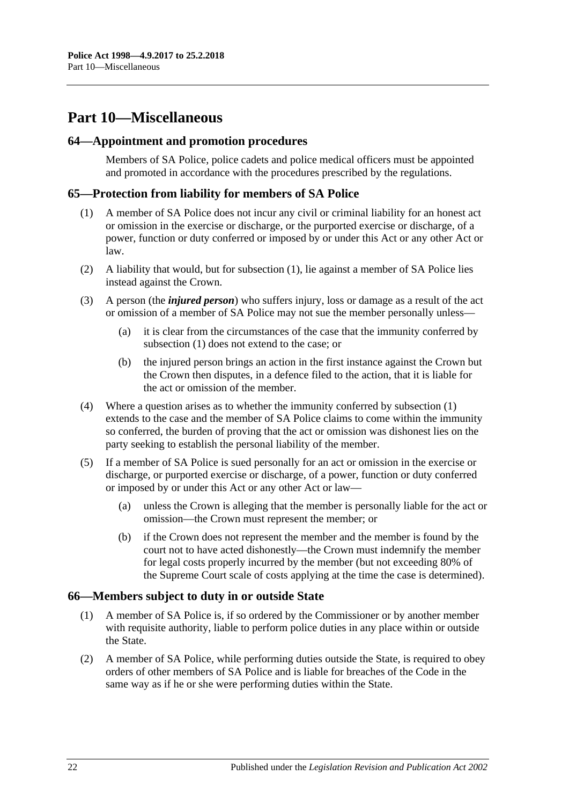## <span id="page-21-0"></span>**Part 10—Miscellaneous**

#### <span id="page-21-1"></span>**64—Appointment and promotion procedures**

Members of SA Police, police cadets and police medical officers must be appointed and promoted in accordance with the procedures prescribed by the regulations.

## <span id="page-21-4"></span><span id="page-21-2"></span>**65—Protection from liability for members of SA Police**

- (1) A member of SA Police does not incur any civil or criminal liability for an honest act or omission in the exercise or discharge, or the purported exercise or discharge, of a power, function or duty conferred or imposed by or under this Act or any other Act or law.
- (2) A liability that would, but for [subsection](#page-21-4) (1), lie against a member of SA Police lies instead against the Crown.
- (3) A person (the *injured person*) who suffers injury, loss or damage as a result of the act or omission of a member of SA Police may not sue the member personally unless—
	- (a) it is clear from the circumstances of the case that the immunity conferred by [subsection](#page-21-4) (1) does not extend to the case; or
	- (b) the injured person brings an action in the first instance against the Crown but the Crown then disputes, in a defence filed to the action, that it is liable for the act or omission of the member.
- (4) Where a question arises as to whether the immunity conferred by [subsection](#page-21-4) (1) extends to the case and the member of SA Police claims to come within the immunity so conferred, the burden of proving that the act or omission was dishonest lies on the party seeking to establish the personal liability of the member.
- (5) If a member of SA Police is sued personally for an act or omission in the exercise or discharge, or purported exercise or discharge, of a power, function or duty conferred or imposed by or under this Act or any other Act or law—
	- (a) unless the Crown is alleging that the member is personally liable for the act or omission—the Crown must represent the member; or
	- (b) if the Crown does not represent the member and the member is found by the court not to have acted dishonestly—the Crown must indemnify the member for legal costs properly incurred by the member (but not exceeding 80% of the Supreme Court scale of costs applying at the time the case is determined).

#### <span id="page-21-3"></span>**66—Members subject to duty in or outside State**

- (1) A member of SA Police is, if so ordered by the Commissioner or by another member with requisite authority, liable to perform police duties in any place within or outside the State.
- (2) A member of SA Police, while performing duties outside the State, is required to obey orders of other members of SA Police and is liable for breaches of the Code in the same way as if he or she were performing duties within the State.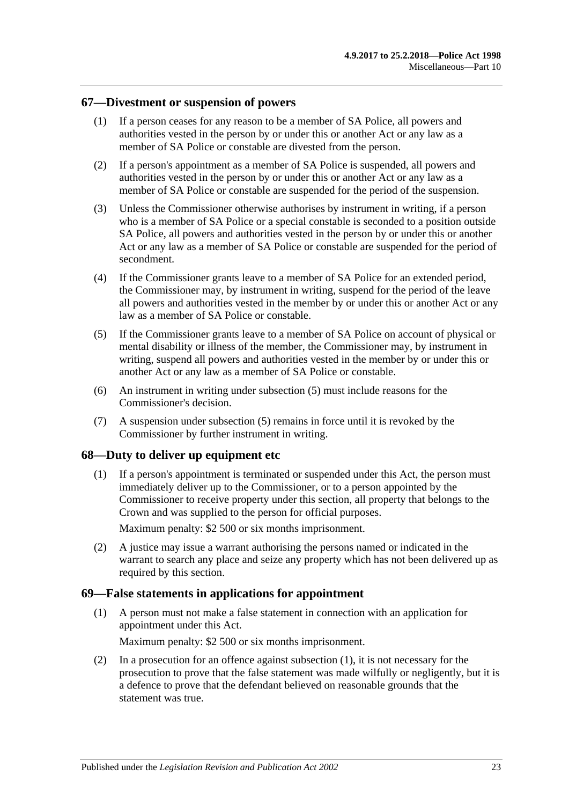#### <span id="page-22-0"></span>**67—Divestment or suspension of powers**

- (1) If a person ceases for any reason to be a member of SA Police, all powers and authorities vested in the person by or under this or another Act or any law as a member of SA Police or constable are divested from the person.
- (2) If a person's appointment as a member of SA Police is suspended, all powers and authorities vested in the person by or under this or another Act or any law as a member of SA Police or constable are suspended for the period of the suspension.
- (3) Unless the Commissioner otherwise authorises by instrument in writing, if a person who is a member of SA Police or a special constable is seconded to a position outside SA Police, all powers and authorities vested in the person by or under this or another Act or any law as a member of SA Police or constable are suspended for the period of secondment.
- (4) If the Commissioner grants leave to a member of SA Police for an extended period, the Commissioner may, by instrument in writing, suspend for the period of the leave all powers and authorities vested in the member by or under this or another Act or any law as a member of SA Police or constable.
- <span id="page-22-3"></span>(5) If the Commissioner grants leave to a member of SA Police on account of physical or mental disability or illness of the member, the Commissioner may, by instrument in writing, suspend all powers and authorities vested in the member by or under this or another Act or any law as a member of SA Police or constable.
- (6) An instrument in writing under [subsection](#page-22-3) (5) must include reasons for the Commissioner's decision.
- (7) A suspension under [subsection](#page-22-3) (5) remains in force until it is revoked by the Commissioner by further instrument in writing.

#### <span id="page-22-1"></span>**68—Duty to deliver up equipment etc**

(1) If a person's appointment is terminated or suspended under this Act, the person must immediately deliver up to the Commissioner, or to a person appointed by the Commissioner to receive property under this section, all property that belongs to the Crown and was supplied to the person for official purposes.

Maximum penalty: \$2 500 or six months imprisonment.

(2) A justice may issue a warrant authorising the persons named or indicated in the warrant to search any place and seize any property which has not been delivered up as required by this section.

#### <span id="page-22-4"></span><span id="page-22-2"></span>**69—False statements in applications for appointment**

(1) A person must not make a false statement in connection with an application for appointment under this Act.

Maximum penalty: \$2 500 or six months imprisonment.

(2) In a prosecution for an offence against [subsection](#page-22-4) (1), it is not necessary for the prosecution to prove that the false statement was made wilfully or negligently, but it is a defence to prove that the defendant believed on reasonable grounds that the statement was true.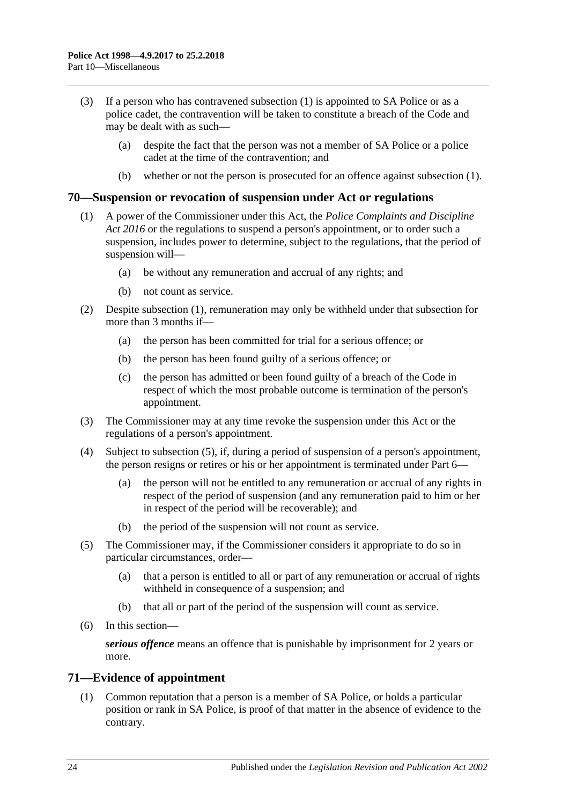- (3) If a person who has contravened [subsection](#page-22-4) (1) is appointed to SA Police or as a police cadet, the contravention will be taken to constitute a breach of the Code and may be dealt with as such—
	- (a) despite the fact that the person was not a member of SA Police or a police cadet at the time of the contravention; and
	- (b) whether or not the person is prosecuted for an offence against [subsection](#page-22-4) (1).

#### <span id="page-23-2"></span><span id="page-23-0"></span>**70—Suspension or revocation of suspension under Act or regulations**

- (1) A power of the Commissioner under this Act, the *[Police Complaints and Discipline](http://www.legislation.sa.gov.au/index.aspx?action=legref&type=act&legtitle=Police%20Complaints%20and%20Discipline%20Act%202016)  [Act 2016](http://www.legislation.sa.gov.au/index.aspx?action=legref&type=act&legtitle=Police%20Complaints%20and%20Discipline%20Act%202016)* or the regulations to suspend a person's appointment, or to order such a suspension, includes power to determine, subject to the regulations, that the period of suspension will—
	- (a) be without any remuneration and accrual of any rights; and
	- (b) not count as service.
- (2) Despite [subsection](#page-23-2) (1), remuneration may only be withheld under that subsection for more than 3 months if—
	- (a) the person has been committed for trial for a serious offence; or
	- (b) the person has been found guilty of a serious offence; or
	- (c) the person has admitted or been found guilty of a breach of the Code in respect of which the most probable outcome is termination of the person's appointment.
- (3) The Commissioner may at any time revoke the suspension under this Act or the regulations of a person's appointment.
- (4) Subject to [subsection](#page-23-3) (5), if, during a period of suspension of a person's appointment, the person resigns or retires or his or her appointment is terminated under [Part](#page-13-0) 6—
	- (a) the person will not be entitled to any remuneration or accrual of any rights in respect of the period of suspension (and any remuneration paid to him or her in respect of the period will be recoverable); and
	- (b) the period of the suspension will not count as service.
- <span id="page-23-3"></span>(5) The Commissioner may, if the Commissioner considers it appropriate to do so in particular circumstances, order—
	- (a) that a person is entitled to all or part of any remuneration or accrual of rights withheld in consequence of a suspension; and
	- (b) that all or part of the period of the suspension will count as service.
- (6) In this section—

*serious offence* means an offence that is punishable by imprisonment for 2 years or more.

## <span id="page-23-1"></span>**71—Evidence of appointment**

(1) Common reputation that a person is a member of SA Police, or holds a particular position or rank in SA Police, is proof of that matter in the absence of evidence to the contrary.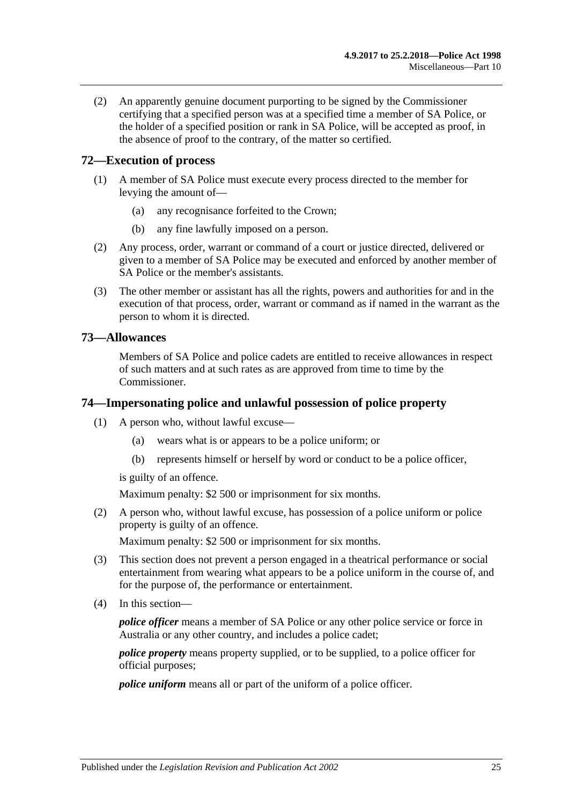(2) An apparently genuine document purporting to be signed by the Commissioner certifying that a specified person was at a specified time a member of SA Police, or the holder of a specified position or rank in SA Police, will be accepted as proof, in the absence of proof to the contrary, of the matter so certified.

## <span id="page-24-0"></span>**72—Execution of process**

- (1) A member of SA Police must execute every process directed to the member for levying the amount of—
	- (a) any recognisance forfeited to the Crown;
	- (b) any fine lawfully imposed on a person.
- (2) Any process, order, warrant or command of a court or justice directed, delivered or given to a member of SA Police may be executed and enforced by another member of SA Police or the member's assistants.
- (3) The other member or assistant has all the rights, powers and authorities for and in the execution of that process, order, warrant or command as if named in the warrant as the person to whom it is directed.

#### <span id="page-24-1"></span>**73—Allowances**

Members of SA Police and police cadets are entitled to receive allowances in respect of such matters and at such rates as are approved from time to time by the Commissioner.

#### <span id="page-24-2"></span>**74—Impersonating police and unlawful possession of police property**

- (1) A person who, without lawful excuse—
	- (a) wears what is or appears to be a police uniform; or
	- (b) represents himself or herself by word or conduct to be a police officer,

is guilty of an offence.

Maximum penalty: \$2 500 or imprisonment for six months.

(2) A person who, without lawful excuse, has possession of a police uniform or police property is guilty of an offence.

Maximum penalty: \$2 500 or imprisonment for six months.

- (3) This section does not prevent a person engaged in a theatrical performance or social entertainment from wearing what appears to be a police uniform in the course of, and for the purpose of, the performance or entertainment.
- (4) In this section—

*police officer* means a member of SA Police or any other police service or force in Australia or any other country, and includes a police cadet;

*police property* means property supplied, or to be supplied, to a police officer for official purposes;

*police uniform* means all or part of the uniform of a police officer.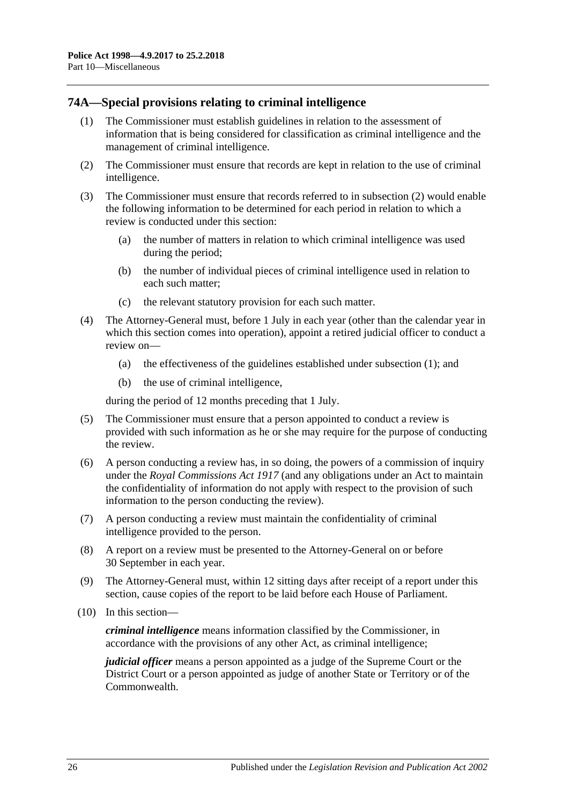## <span id="page-25-2"></span><span id="page-25-0"></span>**74A—Special provisions relating to criminal intelligence**

- (1) The Commissioner must establish guidelines in relation to the assessment of information that is being considered for classification as criminal intelligence and the management of criminal intelligence.
- <span id="page-25-1"></span>(2) The Commissioner must ensure that records are kept in relation to the use of criminal intelligence.
- (3) The Commissioner must ensure that records referred to in [subsection](#page-25-1) (2) would enable the following information to be determined for each period in relation to which a review is conducted under this section:
	- (a) the number of matters in relation to which criminal intelligence was used during the period;
	- (b) the number of individual pieces of criminal intelligence used in relation to each such matter;
	- (c) the relevant statutory provision for each such matter.
- (4) The Attorney-General must, before 1 July in each year (other than the calendar year in which this section comes into operation), appoint a retired judicial officer to conduct a review on—
	- (a) the effectiveness of the guidelines established under [subsection](#page-25-2) (1); and
	- (b) the use of criminal intelligence,

during the period of 12 months preceding that 1 July.

- (5) The Commissioner must ensure that a person appointed to conduct a review is provided with such information as he or she may require for the purpose of conducting the review.
- (6) A person conducting a review has, in so doing, the powers of a commission of inquiry under the *[Royal Commissions Act](http://www.legislation.sa.gov.au/index.aspx?action=legref&type=act&legtitle=Royal%20Commissions%20Act%201917) 1917* (and any obligations under an Act to maintain the confidentiality of information do not apply with respect to the provision of such information to the person conducting the review).
- (7) A person conducting a review must maintain the confidentiality of criminal intelligence provided to the person.
- (8) A report on a review must be presented to the Attorney-General on or before 30 September in each year.
- (9) The Attorney-General must, within 12 sitting days after receipt of a report under this section, cause copies of the report to be laid before each House of Parliament.
- (10) In this section—

*criminal intelligence* means information classified by the Commissioner, in accordance with the provisions of any other Act, as criminal intelligence;

*judicial officer* means a person appointed as a judge of the Supreme Court or the District Court or a person appointed as judge of another State or Territory or of the Commonwealth.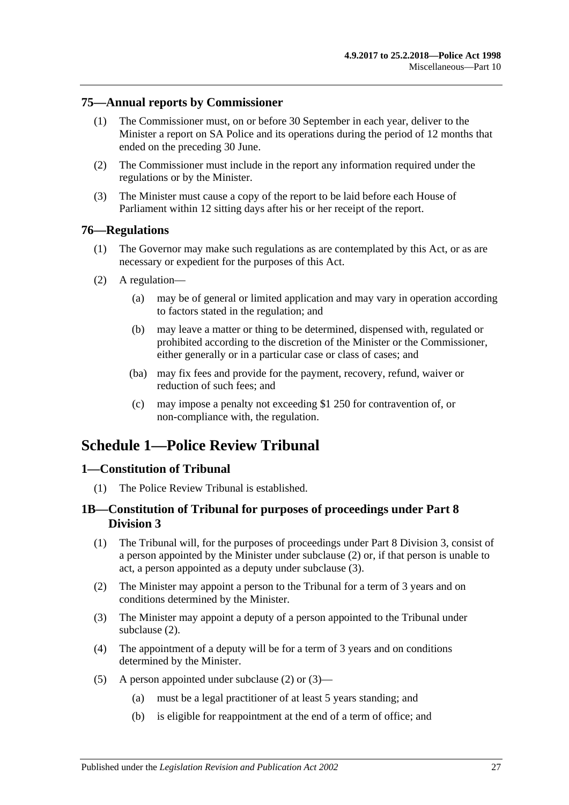#### <span id="page-26-0"></span>**75—Annual reports by Commissioner**

- (1) The Commissioner must, on or before 30 September in each year, deliver to the Minister a report on SA Police and its operations during the period of 12 months that ended on the preceding 30 June.
- (2) The Commissioner must include in the report any information required under the regulations or by the Minister.
- (3) The Minister must cause a copy of the report to be laid before each House of Parliament within 12 sitting days after his or her receipt of the report.

#### <span id="page-26-1"></span>**76—Regulations**

- (1) The Governor may make such regulations as are contemplated by this Act, or as are necessary or expedient for the purposes of this Act.
- (2) A regulation—
	- (a) may be of general or limited application and may vary in operation according to factors stated in the regulation; and
	- (b) may leave a matter or thing to be determined, dispensed with, regulated or prohibited according to the discretion of the Minister or the Commissioner, either generally or in a particular case or class of cases; and
	- (ba) may fix fees and provide for the payment, recovery, refund, waiver or reduction of such fees; and
	- (c) may impose a penalty not exceeding \$1 250 for contravention of, or non-compliance with, the regulation.

## <span id="page-26-2"></span>**Schedule 1—Police Review Tribunal**

## <span id="page-26-3"></span>**1—Constitution of Tribunal**

(1) The Police Review Tribunal is established.

## <span id="page-26-4"></span>**1B—Constitution of Tribunal for purposes of proceedings under [Part 8](#page-18-0)  [Division 3](#page-18-0)**

- (1) The Tribunal will, for the purposes of proceedings under [Part 8 Division 3,](#page-18-0) consist of a person appointed by the Minister under [subclause](#page-26-5) (2) or, if that person is unable to act, a person appointed as a deputy under [subclause](#page-26-6) (3).
- <span id="page-26-5"></span>(2) The Minister may appoint a person to the Tribunal for a term of 3 years and on conditions determined by the Minister.
- <span id="page-26-6"></span>(3) The Minister may appoint a deputy of a person appointed to the Tribunal under [subclause](#page-26-5) (2).
- (4) The appointment of a deputy will be for a term of 3 years and on conditions determined by the Minister.
- <span id="page-26-7"></span>(5) A person appointed under [subclause](#page-26-5) (2) or [\(3\)—](#page-26-6)
	- (a) must be a legal practitioner of at least 5 years standing; and
	- (b) is eligible for reappointment at the end of a term of office; and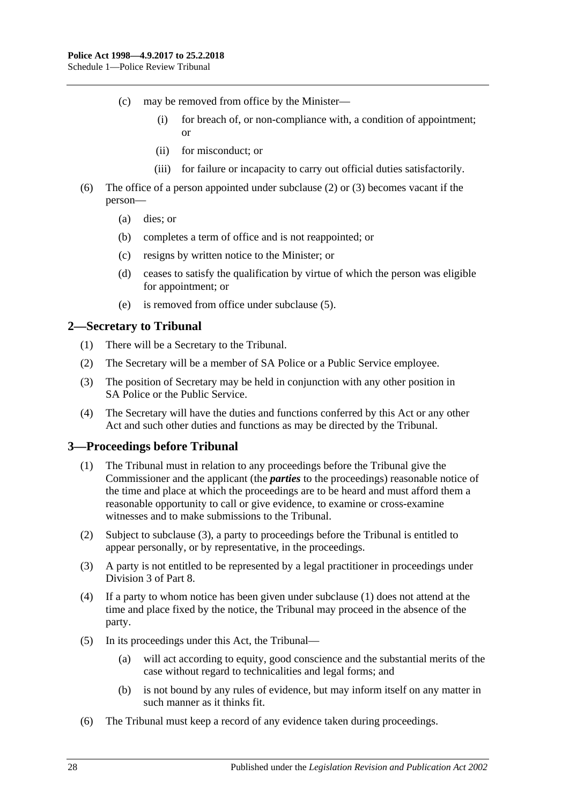- (c) may be removed from office by the Minister—
	- (i) for breach of, or non-compliance with, a condition of appointment; or
	- (ii) for misconduct; or
	- (iii) for failure or incapacity to carry out official duties satisfactorily.
- (6) The office of a person appointed under [subclause](#page-26-5) (2) or [\(3\)](#page-26-6) becomes vacant if the person—
	- (a) dies; or
	- (b) completes a term of office and is not reappointed; or
	- (c) resigns by written notice to the Minister; or
	- (d) ceases to satisfy the qualification by virtue of which the person was eligible for appointment; or
	- (e) is removed from office under [subclause](#page-26-7) (5).

#### <span id="page-27-0"></span>**2—Secretary to Tribunal**

- (1) There will be a Secretary to the Tribunal.
- (2) The Secretary will be a member of SA Police or a Public Service employee.
- (3) The position of Secretary may be held in conjunction with any other position in SA Police or the Public Service.
- (4) The Secretary will have the duties and functions conferred by this Act or any other Act and such other duties and functions as may be directed by the Tribunal.

#### <span id="page-27-3"></span><span id="page-27-1"></span>**3—Proceedings before Tribunal**

- (1) The Tribunal must in relation to any proceedings before the Tribunal give the Commissioner and the applicant (the *parties* to the proceedings) reasonable notice of the time and place at which the proceedings are to be heard and must afford them a reasonable opportunity to call or give evidence, to examine or cross-examine witnesses and to make submissions to the Tribunal.
- (2) Subject to [subclause](#page-27-2) (3), a party to proceedings before the Tribunal is entitled to appear personally, or by representative, in the proceedings.
- <span id="page-27-2"></span>(3) A party is not entitled to be represented by a legal practitioner in proceedings under [Division 3](#page-18-0) of [Part](#page-17-0) 8.
- (4) If a party to whom notice has been given under [subclause](#page-27-3) (1) does not attend at the time and place fixed by the notice, the Tribunal may proceed in the absence of the party.
- (5) In its proceedings under this Act, the Tribunal—
	- (a) will act according to equity, good conscience and the substantial merits of the case without regard to technicalities and legal forms; and
	- (b) is not bound by any rules of evidence, but may inform itself on any matter in such manner as it thinks fit.
- (6) The Tribunal must keep a record of any evidence taken during proceedings.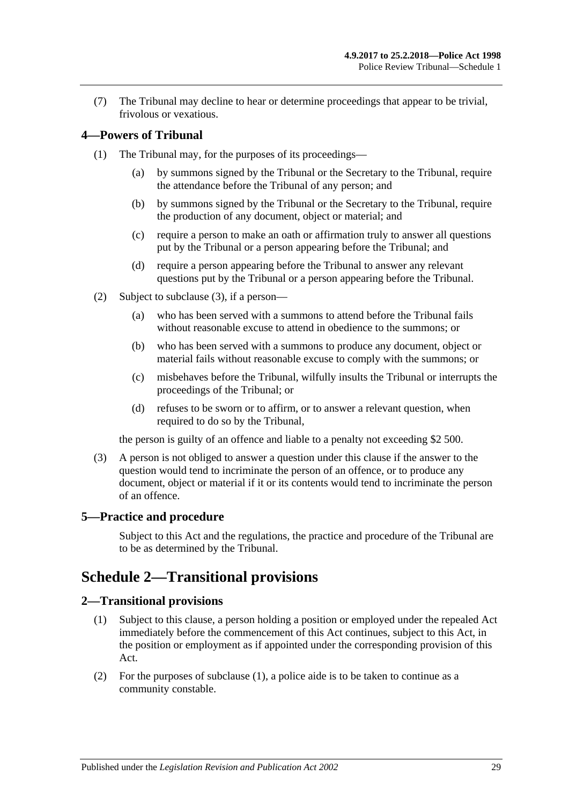(7) The Tribunal may decline to hear or determine proceedings that appear to be trivial, frivolous or vexatious.

## <span id="page-28-0"></span>**4—Powers of Tribunal**

- (1) The Tribunal may, for the purposes of its proceedings—
	- (a) by summons signed by the Tribunal or the Secretary to the Tribunal, require the attendance before the Tribunal of any person; and
	- (b) by summons signed by the Tribunal or the Secretary to the Tribunal, require the production of any document, object or material; and
	- (c) require a person to make an oath or affirmation truly to answer all questions put by the Tribunal or a person appearing before the Tribunal; and
	- (d) require a person appearing before the Tribunal to answer any relevant questions put by the Tribunal or a person appearing before the Tribunal.
- (2) Subject to [subclause](#page-28-4) (3), if a person—
	- (a) who has been served with a summons to attend before the Tribunal fails without reasonable excuse to attend in obedience to the summons; or
	- (b) who has been served with a summons to produce any document, object or material fails without reasonable excuse to comply with the summons; or
	- (c) misbehaves before the Tribunal, wilfully insults the Tribunal or interrupts the proceedings of the Tribunal; or
	- (d) refuses to be sworn or to affirm, or to answer a relevant question, when required to do so by the Tribunal,

the person is guilty of an offence and liable to a penalty not exceeding \$2 500.

<span id="page-28-4"></span>(3) A person is not obliged to answer a question under this clause if the answer to the question would tend to incriminate the person of an offence, or to produce any document, object or material if it or its contents would tend to incriminate the person of an offence.

#### <span id="page-28-1"></span>**5—Practice and procedure**

Subject to this Act and the regulations, the practice and procedure of the Tribunal are to be as determined by the Tribunal.

## <span id="page-28-2"></span>**Schedule 2—Transitional provisions**

#### <span id="page-28-5"></span><span id="page-28-3"></span>**2—Transitional provisions**

- (1) Subject to this clause, a person holding a position or employed under the repealed Act immediately before the commencement of this Act continues, subject to this Act, in the position or employment as if appointed under the corresponding provision of this Act.
- (2) For the purposes of [subclause](#page-28-5) (1), a police aide is to be taken to continue as a community constable.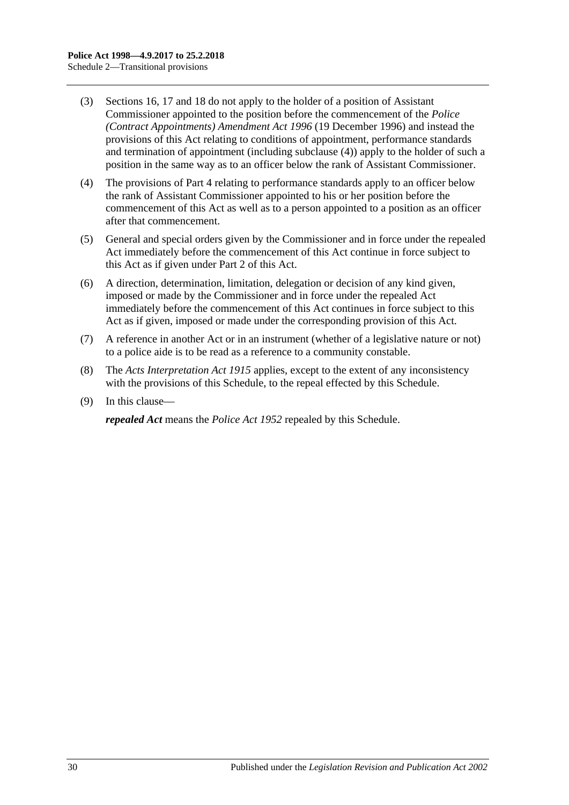- (3) [Sections](#page-7-0) 16, [17](#page-7-1) and [18](#page-8-0) do not apply to the holder of a position of Assistant Commissioner appointed to the position before the commencement of the *[Police](http://www.legislation.sa.gov.au/index.aspx?action=legref&type=act&legtitle=Police%20(Contract%20Appointments)%20Amendment%20Act%201996)  [\(Contract Appointments\) Amendment Act](http://www.legislation.sa.gov.au/index.aspx?action=legref&type=act&legtitle=Police%20(Contract%20Appointments)%20Amendment%20Act%201996) 1996* (19 December 1996) and instead the provisions of this Act relating to conditions of appointment, performance standards and termination of appointment (including [subclause](#page-29-0) (4)) apply to the holder of such a position in the same way as to an officer below the rank of Assistant Commissioner.
- <span id="page-29-0"></span>(4) The provisions of [Part 4](#page-8-2) relating to performance standards apply to an officer below the rank of Assistant Commissioner appointed to his or her position before the commencement of this Act as well as to a person appointed to a position as an officer after that commencement.
- (5) General and special orders given by the Commissioner and in force under the repealed Act immediately before the commencement of this Act continue in force subject to this Act as if given under [Part 2](#page-3-0) of this Act.
- (6) A direction, determination, limitation, delegation or decision of any kind given, imposed or made by the Commissioner and in force under the repealed Act immediately before the commencement of this Act continues in force subject to this Act as if given, imposed or made under the corresponding provision of this Act.
- (7) A reference in another Act or in an instrument (whether of a legislative nature or not) to a police aide is to be read as a reference to a community constable.
- (8) The *[Acts Interpretation Act](http://www.legislation.sa.gov.au/index.aspx?action=legref&type=act&legtitle=Acts%20Interpretation%20Act%201915) 1915* applies, except to the extent of any inconsistency with the provisions of this Schedule, to the repeal effected by this Schedule.
- (9) In this clause—

*repealed Act* means the *[Police Act](http://www.legislation.sa.gov.au/index.aspx?action=legref&type=act&legtitle=Police%20Act%201952) 1952* repealed by this Schedule.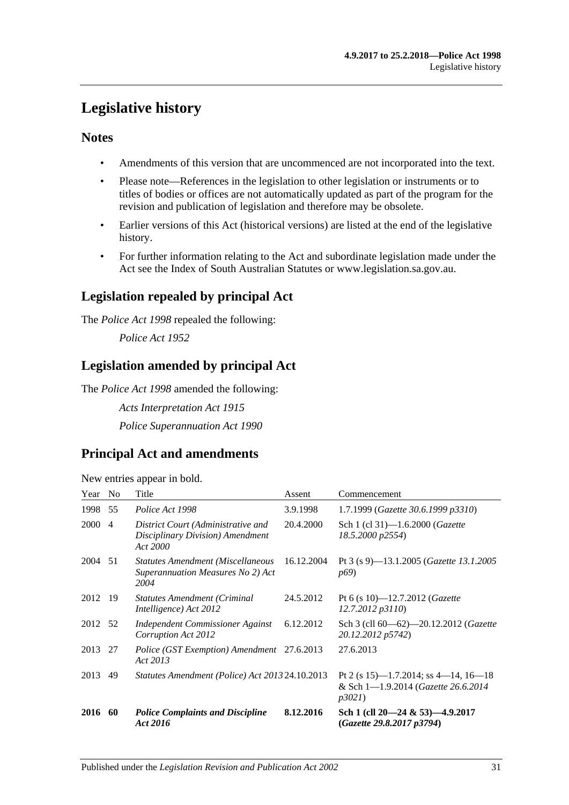## <span id="page-30-0"></span>**Legislative history**

## **Notes**

- Amendments of this version that are uncommenced are not incorporated into the text.
- Please note—References in the legislation to other legislation or instruments or to titles of bodies or offices are not automatically updated as part of the program for the revision and publication of legislation and therefore may be obsolete.
- Earlier versions of this Act (historical versions) are listed at the end of the legislative history.
- For further information relating to the Act and subordinate legislation made under the Act see the Index of South Australian Statutes or www.legislation.sa.gov.au.

## **Legislation repealed by principal Act**

The *Police Act 1998* repealed the following:

*Police Act 1952*

## **Legislation amended by principal Act**

The *Police Act 1998* amended the following:

*Acts Interpretation Act 1915 Police Superannuation Act 1990*

## **Principal Act and amendments**

New entries appear in bold.

| Year No     |                | Title                                                                                 | Assent     | Commencement                                                                          |
|-------------|----------------|---------------------------------------------------------------------------------------|------------|---------------------------------------------------------------------------------------|
| 1998        | 55             | Police Act 1998                                                                       | 3.9.1998   | 1.7.1999 (Gazette 30.6.1999 p3310)                                                    |
| <b>2000</b> | $\overline{4}$ | District Court (Administrative and<br>Disciplinary Division) Amendment<br>Act 2000    | 20.4.2000  | Sch 1 (cl 31)-1.6.2000 ( <i>Gazette</i><br>18.5.2000 p2554)                           |
| 2004 51     |                | <b>Statutes Amendment (Miscellaneous</b><br>Superannuation Measures No 2) Act<br>2004 | 16.12.2004 | Pt 3 (s 9)-13.1.2005 (Gazette 13.1.2005<br><i>p</i> <sub>69</sub>                     |
| 2012 19     |                | <b>Statutes Amendment (Criminal</b><br>Intelligence) Act 2012                         | 24.5.2012  | Pt 6 (s 10)-12.7.2012 ( <i>Gazette</i><br>12.7.2012 p3110)                            |
| 2012 52     |                | Independent Commissioner Against<br>Corruption Act 2012                               | 6.12.2012  | Sch 3 (cll 60—62)—20.12.2012 (Gazette<br>20.12.2012 p5742)                            |
| 2013 27     |                | Police (GST Exemption) Amendment 27.6.2013<br>Act 2013                                |            | 27.6.2013                                                                             |
| 2013        | 49             | Statutes Amendment (Police) Act 2013 24.10.2013                                       |            | Pt 2 (s 15)—1.7.2014; ss 4—14, 16—18<br>& Sch 1-1.9.2014 (Gazette 26.6.2014)<br>p3021 |
| 2016 60     |                | <b>Police Complaints and Discipline</b><br>Act 2016                                   | 8.12.2016  | Sch 1 (cll $20-24 \& 53$ ) $-4.9.2017$<br>(Gazette 29.8.2017 p3794)                   |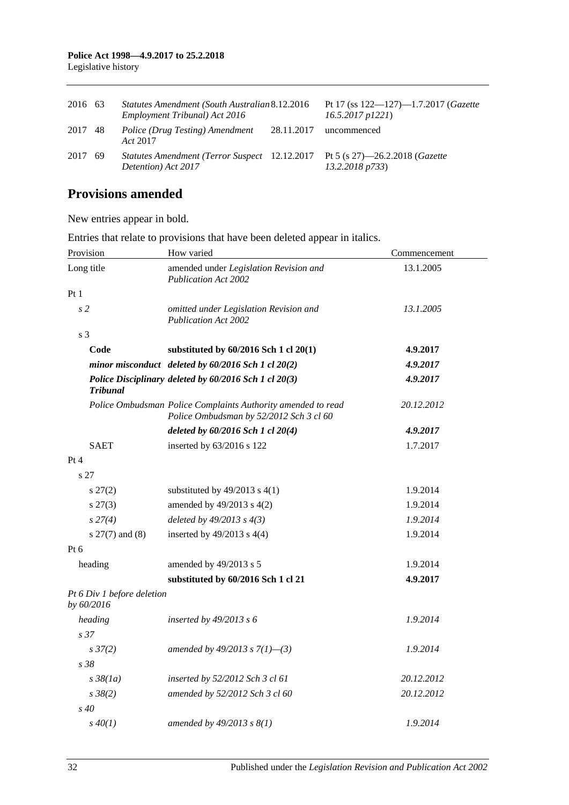| 2016 63 |      | Statutes Amendment (South Australian 8.12.2016)<br>Employment Tribunal) Act 2016                    |            | Pt 17 (ss $122 - 127$ )-1.7.2017 ( <i>Gazette</i><br>$16.5.2017$ $p1221$ ) |
|---------|------|-----------------------------------------------------------------------------------------------------|------------|----------------------------------------------------------------------------|
| 2017 48 |      | Police (Drug Testing) Amendment<br>Act 2017                                                         | 28.11.2017 | uncommenced                                                                |
| 2017    | - 69 | Statutes Amendment (Terror Suspect 12.12.2017 Pt 5 (s 27)—26.2.2018 (Gazette<br>Detention) Act 2017 |            | 13.2.2018 p733)                                                            |

## **Provisions amended**

New entries appear in bold.

Entries that relate to provisions that have been deleted appear in italics.

| Provision                                | How varied                                                                                              | Commencement |  |
|------------------------------------------|---------------------------------------------------------------------------------------------------------|--------------|--|
| Long title                               | amended under Legislation Revision and<br><b>Publication Act 2002</b>                                   | 13.1.2005    |  |
| Pt 1                                     |                                                                                                         |              |  |
| s <sub>2</sub>                           | omitted under Legislation Revision and<br>Publication Act 2002                                          | 13.1.2005    |  |
| s 3                                      |                                                                                                         |              |  |
| Code                                     | substituted by 60/2016 Sch 1 cl 20(1)                                                                   | 4.9.2017     |  |
|                                          | minor misconduct deleted by 60/2016 Sch 1 cl 20(2)                                                      | 4.9.2017     |  |
| <b>Tribunal</b>                          | Police Disciplinary deleted by 60/2016 Sch 1 cl 20(3)                                                   | 4.9.2017     |  |
|                                          | Police Ombudsman Police Complaints Authority amended to read<br>Police Ombudsman by 52/2012 Sch 3 cl 60 | 20.12.2012   |  |
|                                          | deleted by 60/2016 Sch 1 cl 20(4)                                                                       | 4.9.2017     |  |
| <b>SAET</b>                              | inserted by 63/2016 s 122                                                                               | 1.7.2017     |  |
| Pt 4                                     |                                                                                                         |              |  |
| s 27                                     |                                                                                                         |              |  |
| $s\,27(2)$                               | substituted by $49/2013$ s $4(1)$                                                                       | 1.9.2014     |  |
| $s\,27(3)$                               | amended by 49/2013 s 4(2)                                                                               | 1.9.2014     |  |
| s 27(4)                                  | deleted by $49/2013$ s $4(3)$                                                                           | 1.9.2014     |  |
| s 27(7) and (8)                          | inserted by $49/2013$ s $4(4)$                                                                          | 1.9.2014     |  |
| Pt 6                                     |                                                                                                         |              |  |
| heading                                  | amended by 49/2013 s 5                                                                                  | 1.9.2014     |  |
|                                          | substituted by 60/2016 Sch 1 cl 21                                                                      | 4.9.2017     |  |
| Pt 6 Div 1 before deletion<br>by 60/2016 |                                                                                                         |              |  |
| heading                                  | inserted by $49/2013$ s 6                                                                               | 1.9.2014     |  |
| s <sub>37</sub>                          |                                                                                                         |              |  |
| $s \frac{37}{2}$                         | amended by 49/2013 s $7(1)$ -(3)                                                                        | 1.9.2014     |  |
| s 38                                     |                                                                                                         |              |  |
| $s\,38(1a)$                              | inserted by 52/2012 Sch 3 cl 61                                                                         | 20.12.2012   |  |
| $s \, 38(2)$                             | amended by 52/2012 Sch 3 cl 60                                                                          | 20.12.2012   |  |
| s 40                                     |                                                                                                         |              |  |
| $s\,40(1)$                               | amended by $49/2013$ s $8(1)$                                                                           | 1.9.2014     |  |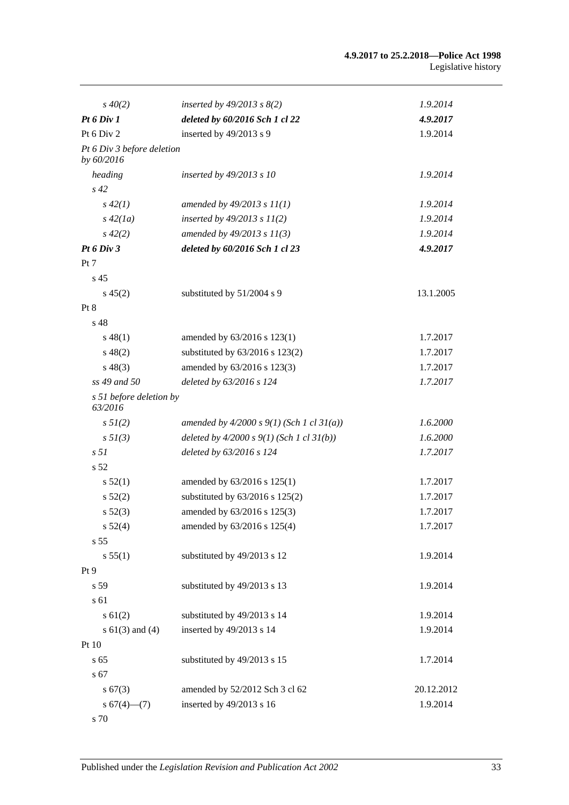| $s\,40(2)$                               | inserted by $49/2013$ s $8(2)$              | 1.9.2014   |
|------------------------------------------|---------------------------------------------|------------|
| Pt 6 Div 1                               | deleted by 60/2016 Sch 1 cl 22              | 4.9.2017   |
| Pt 6 Div 2                               | inserted by 49/2013 s 9                     | 1.9.2014   |
| Pt 6 Div 3 before deletion<br>by 60/2016 |                                             |            |
| heading                                  | inserted by $49/2013$ s 10                  | 1.9.2014   |
| $s\,42$                                  |                                             |            |
| $s\,42(1)$                               | amended by $49/2013 s 11(1)$                | 1.9.2014   |
| $s\,42(1a)$                              | inserted by $49/2013$ s $11(2)$             | 1.9.2014   |
| $s\,42(2)$                               | amended by $49/2013 s 11(3)$                | 1.9.2014   |
| Pt 6 Div 3                               | deleted by 60/2016 Sch 1 cl 23              | 4.9.2017   |
| Pt 7                                     |                                             |            |
| s <sub>45</sub>                          |                                             |            |
| $s\,45(2)$                               | substituted by 51/2004 s 9                  | 13.1.2005  |
| Pt 8                                     |                                             |            |
| s 48                                     |                                             |            |
| $s\,48(1)$                               | amended by 63/2016 s 123(1)                 | 1.7.2017   |
| $s\,48(2)$                               | substituted by $63/2016$ s $123(2)$         | 1.7.2017   |
| $s\,48(3)$                               | amended by 63/2016 s 123(3)                 | 1.7.2017   |
| ss 49 and 50                             | deleted by 63/2016 s 124                    | 1.7.2017   |
| s 51 before deletion by<br>63/2016       |                                             |            |
| $s \, 5I(2)$                             | amended by $4/2000 s 9(1)$ (Sch 1 cl 31(a)) | 1.6.2000   |
| $s \, 5I(3)$                             | deleted by $4/2000 s 9(1)$ (Sch 1 cl 31(b)) | 1.6.2000   |
| s <sub>51</sub>                          | deleted by 63/2016 s 124                    | 1.7.2017   |
| s <sub>52</sub>                          |                                             |            |
| s 52(1)                                  | amended by 63/2016 s 125(1)                 | 1.7.2017   |
| s 52(2)                                  | substituted by 63/2016 s 125(2)             | 1.7.2017   |
| s 52(3)                                  | amended by 63/2016 s 125(3)                 | 1.7.2017   |
| s 52(4)                                  | amended by 63/2016 s 125(4)                 | 1.7.2017   |
| s 55                                     |                                             |            |
| s 55(1)                                  | substituted by 49/2013 s 12                 | 1.9.2014   |
| Pt 9                                     |                                             |            |
| s 59                                     | substituted by 49/2013 s 13                 | 1.9.2014   |
| s 61                                     |                                             |            |
| $s \, 61(2)$                             | substituted by 49/2013 s 14                 | 1.9.2014   |
| $s 61(3)$ and (4)                        | inserted by 49/2013 s 14                    | 1.9.2014   |
| Pt 10                                    |                                             |            |
| s <sub>65</sub>                          | substituted by 49/2013 s 15                 | 1.7.2014   |
| s 67                                     |                                             |            |
| s 67(3)                                  | amended by 52/2012 Sch 3 cl 62              | 20.12.2012 |
| $s 67(4)$ (7)                            | inserted by 49/2013 s 16                    | 1.9.2014   |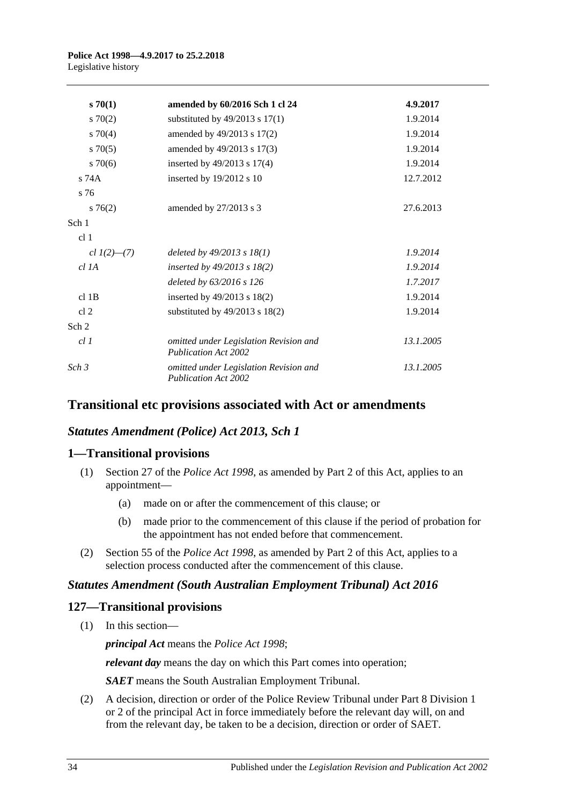| $s \, 70(1)$      | amended by 60/2016 Sch 1 cl 24                                        | 4.9.2017  |
|-------------------|-----------------------------------------------------------------------|-----------|
| 570(2)            | substituted by $49/2013$ s $17(1)$                                    | 1.9.2014  |
| $s \, 70(4)$      | amended by 49/2013 s 17(2)                                            | 1.9.2014  |
| $s \, 70(5)$      | amended by 49/2013 s 17(3)                                            | 1.9.2014  |
| $s \, 70(6)$      | inserted by 49/2013 s 17(4)                                           | 1.9.2014  |
| $s$ 74 $A$        | inserted by 19/2012 s 10                                              | 12.7.2012 |
| s 76              |                                                                       |           |
| $s \, 76(2)$      | amended by 27/2013 s 3                                                | 27.6.2013 |
| Sch 1             |                                                                       |           |
| cl <sub>1</sub>   |                                                                       |           |
| cl $1(2)$ — $(7)$ | deleted by $49/2013$ s $18(1)$                                        | 1.9.2014  |
| $cl$ 1A           | inserted by $49/2013$ s $18(2)$                                       | 1.9.2014  |
|                   | deleted by 63/2016 s 126                                              | 1.7.2017  |
| $cl$ 1B           | inserted by 49/2013 s 18(2)                                           | 1.9.2014  |
| cl <sub>2</sub>   | substituted by $49/2013$ s $18(2)$                                    | 1.9.2014  |
| Sch 2             |                                                                       |           |
| cl1               | omitted under Legislation Revision and<br><b>Publication Act 2002</b> | 13.1.2005 |
| Sch <sub>3</sub>  | omitted under Legislation Revision and<br><b>Publication Act 2002</b> | 13.1.2005 |

## **Transitional etc provisions associated with Act or amendments**

## *Statutes Amendment (Police) Act 2013, Sch 1*

## **1—Transitional provisions**

- (1) Section 27 of the *[Police Act](http://www.legislation.sa.gov.au/index.aspx?action=legref&type=act&legtitle=Police%20Act%201998) 1998*, as amended by Part 2 of this Act, applies to an appointment—
	- (a) made on or after the commencement of this clause; or
	- (b) made prior to the commencement of this clause if the period of probation for the appointment has not ended before that commencement.
- (2) Section 55 of the *[Police Act](http://www.legislation.sa.gov.au/index.aspx?action=legref&type=act&legtitle=Police%20Act%201998) 1998*, as amended by Part 2 of this Act, applies to a selection process conducted after the commencement of this clause.

## *Statutes Amendment (South Australian Employment Tribunal) Act 2016*

## **127—Transitional provisions**

(1) In this section—

*principal Act* means the *[Police Act](http://www.legislation.sa.gov.au/index.aspx?action=legref&type=act&legtitle=Police%20Act%201998) 1998*;

*relevant day* means the day on which this Part comes into operation;

*SAET* means the South Australian Employment Tribunal.

(2) A decision, direction or order of the Police Review Tribunal under Part 8 Division 1 or 2 of the principal Act in force immediately before the relevant day will, on and from the relevant day, be taken to be a decision, direction or order of SAET.